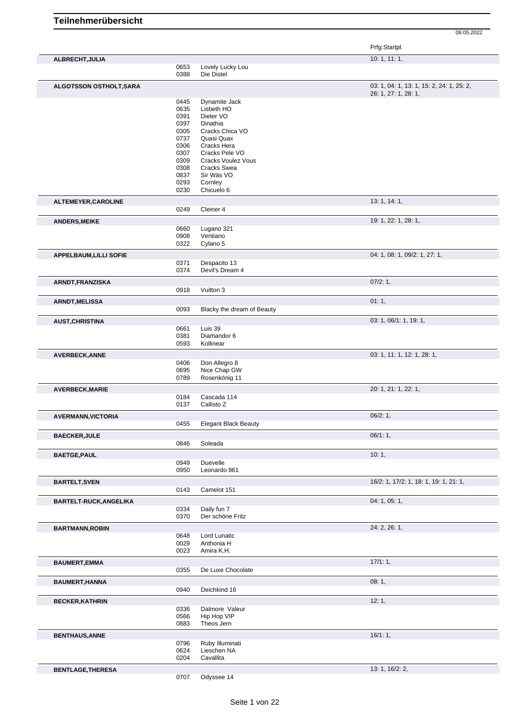|                               |              |                                 | Prfg:Startpl.                                                     |
|-------------------------------|--------------|---------------------------------|-------------------------------------------------------------------|
| ALBRECHT, JULIA               |              |                                 | 10:1, 11:1,                                                       |
|                               | 0653<br>0388 | Lovely Lucky Lou<br>Die Distel  |                                                                   |
|                               |              |                                 |                                                                   |
| ALGOTSSON OSTHOLT, SARA       |              |                                 | 03: 1, 04: 1, 13: 1, 15: 2, 24: 1, 25: 2,<br>26: 1, 27: 1, 28: 1, |
|                               | 0445         | Dynamite Jack                   |                                                                   |
|                               | 0635         | Lisbeth HO                      |                                                                   |
|                               | 0391         | Dieter VO                       |                                                                   |
|                               | 0397         | Dinathia                        |                                                                   |
|                               | 0305         | Cracks Chica VO                 |                                                                   |
|                               | 0737         | Quasi Quax                      |                                                                   |
|                               | 0306         | Cracks Hera                     |                                                                   |
|                               | 0307         | Cracks Pele VO                  |                                                                   |
|                               | 0309         | <b>Cracks Voulez Vous</b>       |                                                                   |
|                               | 0308         | <b>Cracks Swea</b>              |                                                                   |
|                               | 0837         | Sir Wäs VO                      |                                                                   |
|                               | 0293         | Cornley                         |                                                                   |
|                               | 0230         | Chicuelo 6                      |                                                                   |
| ALTEMEYER, CAROLINE           | 0249         | Cleiner 4                       | 13: 1, 14: 1,                                                     |
|                               |              |                                 |                                                                   |
| <b>ANDERS, MEIKE</b>          |              |                                 | 19: 1, 22: 1, 28: 1,                                              |
|                               | 0660         | Lugano 321                      |                                                                   |
|                               | 0908<br>0322 | Ventiano<br>Cylano 5            |                                                                   |
|                               |              |                                 |                                                                   |
| <b>APPELBAUM, LILLI SOFIE</b> |              |                                 | 04: 1, 08: 1, 09/2: 1, 27: 1,                                     |
|                               | 0371<br>0374 | Despacito 13<br>Devil's Dream 4 |                                                                   |
| ARNDT, FRANZISKA              |              |                                 | 07/2:1,                                                           |
|                               | 0918         | Vuitton 3                       |                                                                   |
| ARNDT, MELISSA                |              |                                 | 01:1,                                                             |
|                               | 0093         | Blacky the dream of Beauty      |                                                                   |
| <b>AUST, CHRISTINA</b>        |              |                                 | 03: 1, 06/1: 1, 19: 1,                                            |
|                               | 0661         | Luis 39                         |                                                                   |
|                               | 0381         | Diamandor 6                     |                                                                   |
|                               | 0593         | Kollinear                       |                                                                   |
| <b>AVERBECK, ANNE</b>         |              |                                 | 03: 1, 11: 1, 12: 1, 28: 1,                                       |
|                               | 0406         | Don Allegro 8                   |                                                                   |
|                               | 0695         | Nice Chap GW                    |                                                                   |
|                               | 0789         | Rosenkönig 11                   |                                                                   |
|                               |              |                                 | 20: 1, 21: 1, 22: 1,                                              |
| <b>AVERBECK, MARIE</b>        | 0184         | Cascada 114                     |                                                                   |
|                               | 0137         | Callisto Z                      |                                                                   |
| <b>AVERMANN, VICTORIA</b>     |              |                                 | 06/2:1,                                                           |
|                               | 0455         | <b>Elegant Black Beauty</b>     |                                                                   |
| <b>BAECKER, JULE</b>          |              |                                 | 06/1:1,                                                           |
|                               | 0846         | Soleada                         |                                                                   |
| <b>BAETGE, PAUL</b>           |              |                                 | 10:1,                                                             |
|                               | 0949         | Duevelle                        |                                                                   |
|                               | 0950         | Leonardo 861                    |                                                                   |
| <b>BARTELT, SVEN</b>          |              |                                 | 16/2: 1, 17/2: 1, 18: 1, 19: 1, 21: 1,                            |
|                               | 0143         | Camelot 151                     |                                                                   |
| BARTELT-RUCK, ANGELIKA        |              |                                 | 04: 1, 05: 1,                                                     |
|                               | 0334         | Daily fun 7                     |                                                                   |
|                               | 0370         | Der schöne Fritz                |                                                                   |
|                               |              |                                 | 24: 2, 26: 1,                                                     |
| <b>BARTMANN, ROBIN</b>        | 0648         | Lord Lunatic                    |                                                                   |
|                               | 0029         | Anthonia H                      |                                                                   |
|                               | 0023         | Amira K.H.                      |                                                                   |
|                               |              |                                 |                                                                   |
| <b>BAUMERT, EMMA</b>          | 0355         | De Luxe Chocolate               | 17/1:1,                                                           |
|                               |              |                                 |                                                                   |
| <b>BAUMERT, HANNA</b>         | 0940         | Deichkind 16                    | 08:1,                                                             |
|                               |              |                                 |                                                                   |
| <b>BECKER, KATHRIN</b>        |              |                                 | 12:1,                                                             |
|                               | 0336         | Dalmore Valeur                  |                                                                   |
|                               | 0566<br>0883 | Hip Hop VIP<br>Theos Jern       |                                                                   |
|                               |              |                                 |                                                                   |
| <b>BENTHAUS, ANNE</b>         |              |                                 | 16/1:1,                                                           |
|                               | 0796         | Ruby Illuminati<br>Lieschen NA  |                                                                   |
|                               | 0624<br>0204 | Cavallita                       |                                                                   |
|                               |              |                                 |                                                                   |
| <b>BENTLAGE, THERESA</b>      |              |                                 | 13: 1, 16/2: 2,                                                   |
|                               | 0707         | Odyssee 14                      |                                                                   |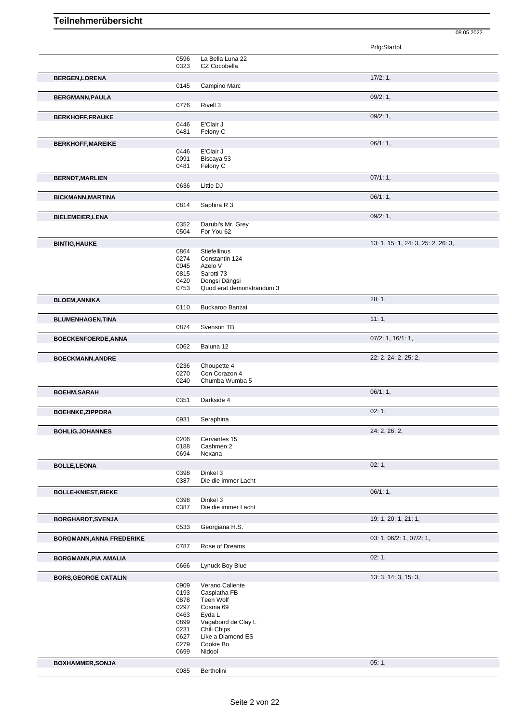|                                                                                               |              |                             | Prfg:Startpl.                      |
|-----------------------------------------------------------------------------------------------|--------------|-----------------------------|------------------------------------|
|                                                                                               | 0596         | La Bella Luna 22            |                                    |
|                                                                                               | 0323         | CZ Cocobella                |                                    |
| <b>BERGEN,LORENA</b>                                                                          |              |                             | 17/2:1,                            |
|                                                                                               | 0145         | Campino Marc                |                                    |
| <b>BERGMANN, PAULA</b>                                                                        |              |                             | 09/2:1,                            |
|                                                                                               | 0776         | Rivell 3                    |                                    |
| <b>BERKHOFF,FRAUKE</b>                                                                        |              |                             | 09/2:1,                            |
|                                                                                               | 0446         | E'Clair J                   |                                    |
|                                                                                               | 0481         | Felony C                    |                                    |
| <b>BERKHOFF, MAREIKE</b>                                                                      |              |                             | 06/1:1,                            |
|                                                                                               | 0446         | E'Clair J                   |                                    |
|                                                                                               | 0091<br>0481 | Biscaya 53<br>Felony C      |                                    |
|                                                                                               |              |                             | 07/1:1,                            |
| <b>BERNDT, MARLIEN</b>                                                                        | 0636         | Little DJ                   |                                    |
|                                                                                               |              |                             |                                    |
| <b>BICKMANN, MARTINA</b>                                                                      | 0814         | Saphira R 3                 | 06/1:1,                            |
|                                                                                               |              |                             |                                    |
| <b>BIELEMEIER, LENA</b>                                                                       | 0352         | Darubi's Mr. Grey           | 09/2:1,                            |
|                                                                                               | 0504         | For You 62                  |                                    |
| <b>BINTIG, HAUKE</b>                                                                          |              |                             | 13: 1, 15: 1, 24: 3, 25: 2, 26: 3, |
|                                                                                               | 0864         | <b>Stiefellinus</b>         |                                    |
|                                                                                               | 0274         | Constantin 124              |                                    |
|                                                                                               | 0045         | Azelo V                     |                                    |
|                                                                                               | 0815<br>0420 | Sarotti 73<br>Dongsi Dängsi |                                    |
|                                                                                               | 0753         | Quod erat demonstrandum 3   |                                    |
| <b>BLOEM, ANNIKA</b>                                                                          |              |                             | 28:1,                              |
|                                                                                               | 0110         | Buckaroo Banzai             |                                    |
| <b>BLUMENHAGEN, TINA</b>                                                                      |              |                             | 11:1,                              |
|                                                                                               | 0874         | Svenson TB                  |                                    |
| <b>BOECKENFOERDE, ANNA</b>                                                                    |              |                             | $07/2$ : 1, 16/1: 1,               |
|                                                                                               | 0062         | Baluna 12                   |                                    |
| <b>BOECKMANN, ANDRE</b>                                                                       |              |                             | 22: 2, 24: 2, 25: 2,               |
|                                                                                               | 0236         | Choupette 4                 |                                    |
|                                                                                               | 0270         | Con Corazon 4               |                                    |
|                                                                                               | 0240         | Chumba Wumba 5              |                                    |
| <b>BOEHM, SARAH</b>                                                                           |              |                             | 06/1:1,                            |
|                                                                                               | 0351         | Darkside 4                  |                                    |
| <b>BOEHNKE, ZIPPORA</b>                                                                       |              |                             | 02:1,                              |
|                                                                                               | 0931         | Seraphina                   |                                    |
| <b>BOHLIG, JOHANNES</b>                                                                       |              |                             | 24: 2, 26: 2,                      |
|                                                                                               | 0206         | Cervantes 15                |                                    |
|                                                                                               | 0188<br>0694 | Cashmen 2<br>Nexana         |                                    |
|                                                                                               |              |                             | 02:1,                              |
| <b>BOLLE, LEONA</b>                                                                           | 0398         | Dinkel 3                    |                                    |
|                                                                                               | 0387         | Die die immer Lacht         |                                    |
| <b>BOLLE-KNIEST, RIEKE</b>                                                                    |              |                             | 06/1:1,                            |
|                                                                                               | 0398         | Dinkel 3                    |                                    |
|                                                                                               | 0387         | Die die immer Lacht         |                                    |
| BORGHARDT, SVENJA                                                                             |              |                             | 19: 1, 20: 1, 21: 1,               |
|                                                                                               |              |                             |                                    |
|                                                                                               | 0533         | Georgiana H.S.              |                                    |
|                                                                                               |              |                             |                                    |
|                                                                                               | 0787         | Rose of Dreams              | 03: 1, 06/2: 1, 07/2: 1,           |
|                                                                                               |              |                             |                                    |
|                                                                                               | 0666         | Lynuck Boy Blue             | 02:1,                              |
|                                                                                               |              |                             |                                    |
|                                                                                               | 0909         | Verano Caliente             | 13: 3, 14: 3, 15: 3,               |
|                                                                                               | 0193         | Caspiatha FB                |                                    |
|                                                                                               | 0878         | Teen Wolf                   |                                    |
|                                                                                               | 0297<br>0463 | Cosma 69<br>Eyda L          |                                    |
|                                                                                               | 0899         | Vagabond de Clay L          |                                    |
|                                                                                               | 0231         | Chili Chips                 |                                    |
| <b>BORGMANN, ANNA FREDERIKE</b><br><b>BORGMANN, PIA AMALIA</b><br><b>BORS, GEORGE CATALIN</b> | 0627         | Like a Diamond ES           |                                    |
|                                                                                               | 0279<br>0699 | Cookie Bo<br>Nidool         |                                    |
| <b>BOXHAMMER, SONJA</b>                                                                       |              |                             | 05:1,                              |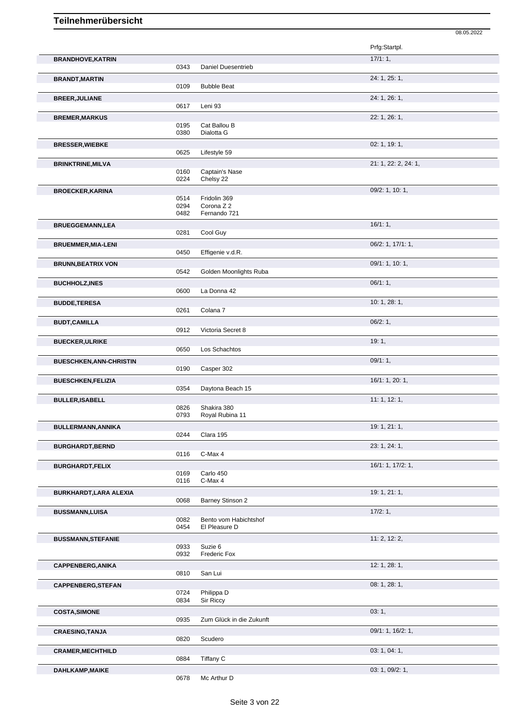|                                |              |                                        | Prfg:Startpl.        |
|--------------------------------|--------------|----------------------------------------|----------------------|
| <b>BRANDHOVE, KATRIN</b>       |              | Daniel Duesentrieb                     | 17/1:1,              |
| <b>BRANDT, MARTIN</b>          | 0343         |                                        | 24: 1, 25: 1,        |
|                                | 0109         | <b>Bubble Beat</b>                     |                      |
| <b>BREER, JULIANE</b>          |              |                                        | 24: 1, 26: 1,        |
|                                | 0617         | Leni 93                                | 22: 1, 26: 1,        |
| <b>BREMER, MARKUS</b>          | 0195         | Cat Ballou B                           |                      |
|                                | 0380         | Dialotta G                             |                      |
| <b>BRESSER, WIEBKE</b>         | 0625         | Lifestyle 59                           | 02: 1, 19: 1,        |
| <b>BRINKTRINE, MILVA</b>       |              |                                        | 21: 1, 22: 2, 24: 1, |
|                                | 0160         | Captain's Nase                         |                      |
|                                | 0224         | Chelsy 22                              | 09/2: 1, 10: 1,      |
| <b>BROECKER, KARINA</b>        | 0514         | Fridolin 369                           |                      |
|                                | 0294<br>0482 | Corona Z 2<br>Fernando 721             |                      |
| <b>BRUEGGEMANN,LEA</b>         |              |                                        | 16/1:1,              |
|                                | 0281         | Cool Guy                               |                      |
| <b>BRUEMMER, MIA-LENI</b>      |              |                                        | 06/2: 1, 17/1: 1,    |
|                                | 0450         | Effigenie v.d.R.                       |                      |
| <b>BRUNN, BEATRIX VON</b>      | 0542         | Golden Moonlights Ruba                 | 09/1: 1, 10: 1,      |
| <b>BUCHHOLZ, INES</b>          |              |                                        | 06/1:1,              |
|                                | 0600         | La Donna 42                            |                      |
| <b>BUDDE, TERESA</b>           |              |                                        | 10: 1, 28: 1,        |
| <b>BUDT,CAMILLA</b>            | 0261         | Colana 7                               | 06/2:1,              |
|                                | 0912         | Victoria Secret 8                      |                      |
| <b>BUECKER, ULRIKE</b>         |              |                                        | 19:1,                |
|                                | 0650         | Los Schachtos                          |                      |
| <b>BUESCHKEN, ANN-CHRISTIN</b> | 0190         | Casper 302                             | 09/1:1,              |
| <b>BUESCHKEN, FELIZIA</b>      |              |                                        | 16/1: 1, 20: 1,      |
|                                | 0354         | Daytona Beach 15                       |                      |
|                                |              |                                        |                      |
| <b>BULLER, ISABELL</b>         |              |                                        | 11: 1, 12: 1,        |
|                                | 0826<br>0793 | Shakira 380<br>Royal Rubina 11         |                      |
| BULLERMANN, ANNIKA             |              |                                        | 19: 1, 21: 1,        |
|                                | 0244         | Clara 195                              |                      |
| <b>BURGHARDT, BERND</b>        | 0116         | C-Max 4                                | 23: 1, 24: 1,        |
| <b>BURGHARDT,FELIX</b>         |              |                                        | 16/1: 1, 17/2: 1,    |
|                                | 0169         | Carlo 450<br>C-Max 4                   |                      |
| BURKHARDT, LARA ALEXIA         | 0116         |                                        | 19: 1, 21: 1,        |
|                                | 0068         | Barney Stinson 2                       |                      |
| <b>BUSSMANN,LUISA</b>          |              |                                        | 17/2:1,              |
|                                | 0082<br>0454 | Bento vom Habichtshof<br>El Pleasure D |                      |
| <b>BUSSMANN, STEFANIE</b>      |              |                                        | 11: 2, 12: 2,        |
|                                | 0933<br>0932 | Suzie 6<br>Frederic Fox                |                      |
| <b>CAPPENBERG, ANIKA</b>       |              |                                        | 12: 1, 28: 1,        |
|                                | 0810         | San Lui                                |                      |
| <b>CAPPENBERG, STEFAN</b>      |              |                                        | 08: 1, 28: 1,        |
|                                | 0724<br>0834 | Philippa D<br>Sir Riccy                |                      |
| <b>COSTA, SIMONE</b>           |              |                                        | 03:1,                |
|                                | 0935         | Zum Glück in die Zukunft               |                      |
| <b>CRAESING, TANJA</b>         | 0820         | Scudero                                | 09/1: 1, 16/2: 1,    |
| <b>CRAMER, MECHTHILD</b>       |              |                                        | 03: 1, 04: 1,        |
| DAHLKAMP, MAIKE                | 0884         | Tiffany C                              | 03: 1, 09/2: 1,      |

08.05.2022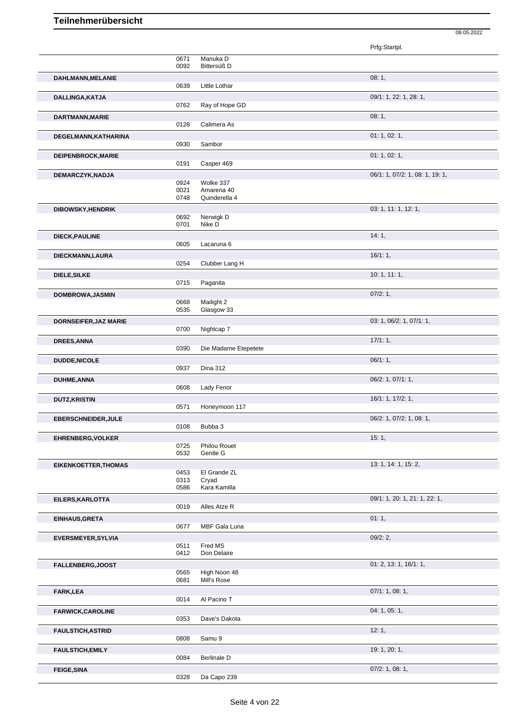|                              |              |                         | Prfg:Startpl.                   |
|------------------------------|--------------|-------------------------|---------------------------------|
|                              | 0671         | Manuka D                |                                 |
|                              | 0092         | Bittersüß D             |                                 |
| DAHLMANN, MELANIE            | 0639         | Little Lothar           | 08:1,                           |
| <b>DALLINGA, KATJA</b>       |              |                         | 09/1: 1, 22: 1, 28: 1,          |
|                              | 0762         | Ray of Hope GD          |                                 |
| DARTMANN, MARIE              | 0128         | Calimera As             | 08:1,                           |
|                              |              |                         | 01: 1, 02: 1,                   |
| DEGELMANN, KATHARINA         | 0930         | Sambor                  |                                 |
| DEIPENBROCK, MARIE           |              |                         | 01: 1, 02: 1,                   |
|                              | 0191         | Casper 469              |                                 |
| DEMARCZYK, NADJA             |              |                         | 06/1: 1, 07/2: 1, 08: 1, 19: 1, |
|                              | 0924         | Wolke 337<br>Amarena 40 |                                 |
|                              | 0021<br>0748 | Quinderella 4           |                                 |
| <b>DIBOWSKY, HENDRIK</b>     |              |                         | 03: 1, 11: 1, 12: 1,            |
|                              | 0692         | Nerwigk D               |                                 |
|                              | 0701         | Nike D                  |                                 |
| <b>DIECK, PAULINE</b>        |              |                         | 14:1,                           |
|                              | 0605         | Lacaruna 6              |                                 |
| DIECKMANN, LAURA             |              |                         | 16/1:1,                         |
|                              | 0254         | Clubber Lang H          |                                 |
| DIELE, SILKE                 |              |                         | 10:1, 11:1,                     |
|                              | 0715         | Paganita                |                                 |
| DOMBROWA, JASMIN             |              | Mailight 2              | 07/2: 1,                        |
|                              | 0668<br>0535 | Glasgow 33              |                                 |
| <b>DORNSEIFER, JAZ MARIE</b> |              |                         | 03: 1, 06/2: 1, 07/1: 1,        |
|                              | 0700         | Nightcap 7              |                                 |
| DREES, ANNA                  |              |                         | 17/1:1,                         |
|                              | 0390         | Die Madame Etepetete    |                                 |
| <b>DUDDE, NICOLE</b>         |              |                         | 06/1:1,                         |
|                              | 0937         | <b>Dina 312</b>         |                                 |
| <b>DUHME, ANNA</b>           |              |                         | 06/2: 1, 07/1: 1,               |
|                              | 0608         | Lady Fenor              |                                 |
| <b>DUTZ, KRISTIN</b>         |              |                         | 16/1: 1, 17/2: 1,               |
|                              | 0571         | Honeymoon 117           |                                 |
| <b>EBERSCHNEIDER, JULE</b>   |              |                         | 06/2: 1, 07/2: 1, 08: 1,        |
|                              | 0108         | Bubba 3                 |                                 |
| <b>EHRENBERG, VOLKER</b>     | 0725         | Philou Rouet            | 15:1,                           |
|                              | 0532         | Gentle G                |                                 |
| <b>EIKENKOETTER, THOMAS</b>  |              |                         | 13: 1, 14: 1, 15: 2,            |
|                              | 0453         | El Grande ZL            |                                 |
|                              | 0313<br>0586 | Cryad<br>Kara Kamilla   |                                 |
|                              |              |                         |                                 |
| EILERS, KARLOTTA             | 0019         | Alles Atze R            | 09/1: 1, 20: 1, 21: 1, 22: 1,   |
|                              |              |                         | 01:1,                           |
| EINHAUS, GRETA               | 0677         | MBF Gala Luna           |                                 |
| <b>EVERSMEYER, SYLVIA</b>    |              |                         | 09/2:2,                         |
|                              | 0511         | Fred MS                 |                                 |
|                              | 0412         | Don Delaire             |                                 |
| <b>FALLENBERG, JOOST</b>     |              |                         | 01: 2, 13: 1, 16/1: 1,          |
|                              | 0565         | High Noon 48            |                                 |
|                              | 0681         | Mill's Rose             |                                 |
| <b>FARK,LEA</b>              | 0014         | Al Pacino T             | 07/1: 1, 08: 1,                 |
|                              |              |                         |                                 |
| <b>FARWICK, CAROLINE</b>     | 0353         | Dave's Dakota           | 04: 1, 05: 1,                   |
| <b>FAULSTICH, ASTRID</b>     |              |                         | 12:1,                           |
|                              | 0808         | Samu 9                  |                                 |
| <b>FAULSTICH, EMILY</b>      |              |                         | 19: 1, 20: 1,                   |
|                              | 0084         | <b>Berlinale D</b>      |                                 |
| <b>FEIGE, SINA</b>           |              |                         | 07/2: 1, 08: 1,                 |

08.05.2022

0328 Da Capo 239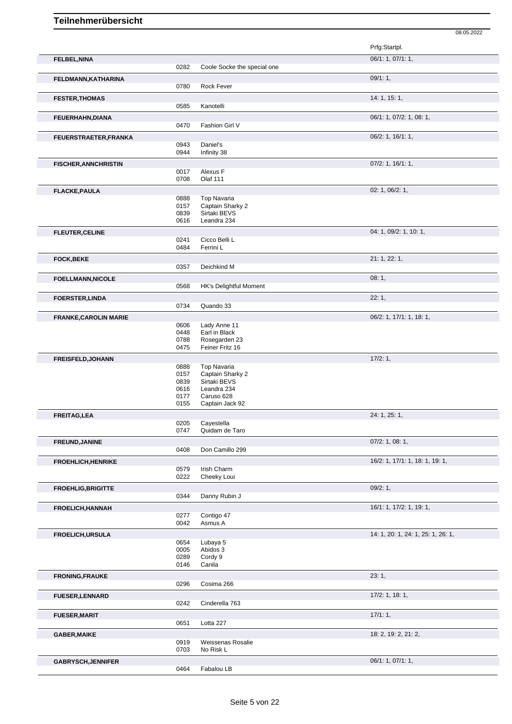|                              |              |                                | Prfg:Startpl.                      |
|------------------------------|--------------|--------------------------------|------------------------------------|
| <b>FELBEL, NINA</b>          |              |                                | 06/1: 1, 07/1: 1,                  |
|                              | 0282         | Coole Socke the special one    |                                    |
|                              |              |                                | 09/1:1,                            |
| FELDMANN, KATHARINA          | 0780         | Rock Fever                     |                                    |
|                              |              |                                |                                    |
| <b>FESTER, THOMAS</b>        | 0585         | Kanotelli                      | 14:1, 15:1,                        |
|                              |              |                                |                                    |
| FEUERHAHN, DIANA             |              |                                | 06/1: 1, 07/2: 1, 08: 1,           |
|                              | 0470         | Fashion Girl V                 |                                    |
| FEUERSTRAETER, FRANKA        |              |                                | 06/2: 1, 16/1: 1,                  |
|                              | 0943         | Daniel's                       |                                    |
|                              | 0944         | Infinity 38                    |                                    |
| <b>FISCHER, ANNCHRISTIN</b>  |              |                                | $07/2$ : 1, 16/1: 1,               |
|                              | 0017         | Alexus F                       |                                    |
|                              | 0708         | <b>Olaf 111</b>                |                                    |
| <b>FLACKE, PAULA</b>         |              |                                | 02: 1, 06/2: 1,                    |
|                              | 0888         | <b>Top Navaria</b>             |                                    |
|                              | 0157         | Captain Sharky 2               |                                    |
|                              | 0839         | Sirtaki BEVS                   |                                    |
|                              | 0616         | Leandra 234                    |                                    |
| <b>FLEUTER, CELINE</b>       |              |                                | 04: 1, 09/2: 1, 10: 1,             |
|                              | 0241         | Cicco Belli L                  |                                    |
|                              | 0484         | Ferrini L                      |                                    |
| <b>FOCK, BEKE</b>            |              |                                | 21: 1, 22: 1,                      |
|                              | 0357         | Deichkind M                    |                                    |
| <b>FOELLMANN, NICOLE</b>     |              |                                | 08:1,                              |
|                              | 0568         | <b>HK's Delightful Moment</b>  |                                    |
|                              |              |                                | 22:1,                              |
| <b>FOERSTER, LINDA</b>       | 0734         | Quando 33                      |                                    |
|                              |              |                                |                                    |
| <b>FRANKE, CAROLIN MARIE</b> |              |                                | 06/2: 1, 17/1: 1, 18: 1,           |
|                              | 0606         | Lady Anne 11                   |                                    |
|                              | 0448<br>0788 | Earl in Black<br>Rosegarden 23 |                                    |
|                              | 0475         | Feiner Fritz 16                |                                    |
|                              |              |                                |                                    |
| FREISFELD, JOHANN            | 0888         | <b>Top Navaria</b>             | 17/2:1,                            |
|                              | 0157         | Captain Sharky 2               |                                    |
|                              | 0839         | Sirtaki BEVS                   |                                    |
|                              | 0616         | Leandra 234                    |                                    |
|                              | 0177         | Caruso 628                     |                                    |
|                              | 0155         | Captain Jack 92                |                                    |
| <b>FREITAG,LEA</b>           |              |                                | 24: 1, 25: 1,                      |
|                              | 0205         | Cayestella                     |                                    |
|                              | 0747         | Quidam de Taro                 |                                    |
| FREUND, JANINE               |              |                                | $07/2$ : 1, 08: 1,                 |
|                              | 0408         | Don Camillo 299                |                                    |
|                              |              |                                |                                    |
| <b>FROEHLICH, HENRIKE</b>    |              | Irish Charm                    | 16/2: 1, 17/1: 1, 18: 1, 19: 1,    |
|                              | 0579<br>0222 | Cheeky Loui                    |                                    |
|                              |              |                                |                                    |
| <b>FROEHLIG, BRIGITTE</b>    | 0344         | Danny Rubin J                  | $09/2:1$ ,                         |
|                              |              |                                |                                    |
| <b>FROELICH, HANNAH</b>      |              |                                | 16/1: 1, 17/2: 1, 19: 1,           |
|                              | 0277         | Contigo 47                     |                                    |
|                              | 0042         | Asmus A                        |                                    |
| <b>FROELICH, URSULA</b>      |              |                                | 14: 1, 20: 1, 24: 1, 25: 1, 26: 1, |
|                              | 0654         | Lubaya 5                       |                                    |
|                              | 0005         | Abidos 3                       |                                    |
|                              | 0289<br>0146 | Cordy 9<br>Canila              |                                    |
|                              |              |                                |                                    |
| <b>FRONING, FRAUKE</b>       |              |                                | 23:1,                              |
|                              | 0296         | Cosima 266                     |                                    |
| <b>FUESER, LENNARD</b>       |              |                                | $17/2$ : 1, 18: 1,                 |
|                              | 0242         | Cinderella 763                 |                                    |
| <b>FUESER, MARIT</b>         |              |                                | 17/1:1,                            |
|                              | 0651         | Lotta 227                      |                                    |
|                              |              |                                | 18: 2, 19: 2, 21: 2,               |
| <b>GABER, MAIKE</b>          | 0919         | Weissenas Rosalie              |                                    |
|                              | 0703         | No Risk L                      |                                    |
|                              |              |                                | 06/1: 1, 07/1: 1,                  |
| <b>GABRYSCH, JENNIFER</b>    | 0464         | Fabalou LB                     |                                    |
|                              |              |                                |                                    |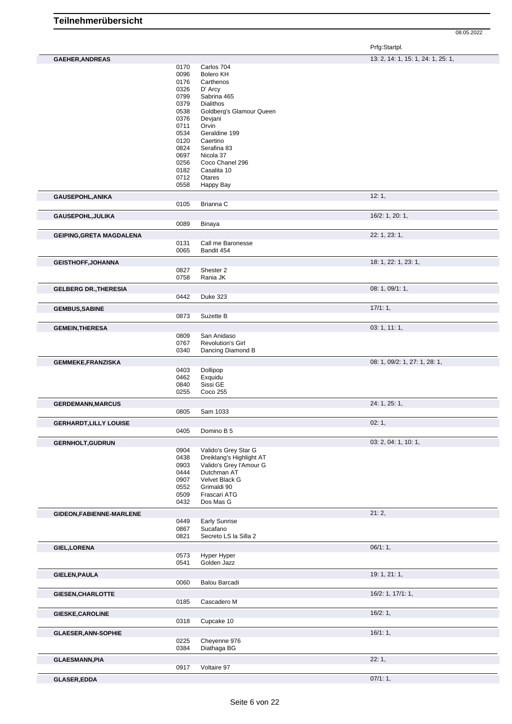Prfg:Startpl.

| <b>GAEHER, ANDREAS</b>          |              |                          | 13: 2, 14: 1, 15: 1, 24: 1, 25: 1, |
|---------------------------------|--------------|--------------------------|------------------------------------|
|                                 | 0170         | Carlos 704               |                                    |
|                                 | 0096         | <b>Bolero KH</b>         |                                    |
|                                 | 0176         | Carthenos                |                                    |
|                                 | 0326         | D' Arcy                  |                                    |
|                                 | 0799         | Sabrina 465              |                                    |
|                                 | 0379         | <b>Dialithos</b>         |                                    |
|                                 | 0538         | Goldberg's Glamour Queen |                                    |
|                                 | 0376         | Devjani                  |                                    |
|                                 | 0711         | Orvin                    |                                    |
|                                 | 0534         | Geraldine 199            |                                    |
|                                 | 0120         | Caertino                 |                                    |
|                                 | 0824         | Serafina 83              |                                    |
|                                 | 0697         | Nicola 37                |                                    |
|                                 | 0256         | Coco Chanel 296          |                                    |
|                                 | 0182         | Casalita 10              |                                    |
|                                 | 0712         | Otares                   |                                    |
|                                 | 0558         | Happy Bay                |                                    |
|                                 |              |                          | 12:1,                              |
| GAUSEPOHL, ANIKA                |              | Brianna C                |                                    |
|                                 | 0105         |                          |                                    |
| GAUSEPOHL, JULIKA               |              |                          | 16/2: 1, 20: 1,                    |
|                                 | 0089         | Binaya                   |                                    |
|                                 |              |                          |                                    |
| <b>GEIPING, GRETA MAGDALENA</b> |              |                          | 22: 1, 23: 1,                      |
|                                 | 0131         | Call me Baronesse        |                                    |
|                                 | 0065         | Bandit 454               |                                    |
| <b>GEISTHOFF, JOHANNA</b>       |              |                          | 18: 1, 22: 1, 23: 1,               |
|                                 | 0827         | Shester 2                |                                    |
|                                 | 0758         | Rania JK                 |                                    |
|                                 |              |                          |                                    |
| <b>GELBERG DR., THERESIA</b>    |              |                          | 08: 1, 09/1: 1,                    |
|                                 | 0442         | <b>Duke 323</b>          |                                    |
| <b>GEMBUS, SABINE</b>           |              |                          | 17/1:1,                            |
|                                 | 0873         | Suzette B                |                                    |
|                                 |              |                          |                                    |
| <b>GEMEIN, THERESA</b>          |              |                          | 03: 1, 11: 1,                      |
|                                 | 0809         | San Anidaso              |                                    |
|                                 | 0767         | <b>Revolution's Girl</b> |                                    |
|                                 | 0340         | Dancing Diamond B        |                                    |
|                                 |              |                          | 08: 1, 09/2: 1, 27: 1, 28: 1,      |
| <b>GEMMEKE,FRANZISKA</b>        |              |                          |                                    |
|                                 | 0403         | Dollipop                 |                                    |
|                                 | 0462         | Exquidu                  |                                    |
|                                 | 0840<br>0255 | Sissi GE<br>Coco 255     |                                    |
|                                 |              |                          |                                    |
| <b>GERDEMANN, MARCUS</b>        |              |                          | 24: 1, 25: 1,                      |
|                                 | 0805         | Sam 1033                 |                                    |
|                                 |              |                          |                                    |
| <b>GERHARDT, LILLY LOUISE</b>   |              |                          | 02:1,                              |
|                                 | 0405         | Domino B 5               |                                    |
| <b>GERNHOLT, GUDRUN</b>         |              |                          | 03: 2, 04: 1, 10: 1,               |
|                                 | 0904         | Valido's Grey Star G     |                                    |
|                                 | 0438         | Dreiklang's Highlight AT |                                    |
|                                 | 0903         | Valido's Grey l'Amour G  |                                    |
|                                 | 0444         | Dutchman AT              |                                    |
|                                 | 0907         | Velvet Black G           |                                    |
|                                 | 0552         | Grimaldi 90              |                                    |
|                                 | 0509         | Frascari ATG             |                                    |
|                                 | 0432         | Dos Mas G                |                                    |
|                                 |              |                          |                                    |
| GIDEON, FABIENNE-MARLENE        |              |                          | 21:2,                              |
|                                 | 0449         | <b>Early Sunrise</b>     |                                    |
|                                 | 0867         | Sucafano                 |                                    |
|                                 | 0821         | Secreto LS la Silla 2    |                                    |
| <b>GIEL, LORENA</b>             |              |                          | 06/1:1,                            |
|                                 | 0573         | Hyper Hyper              |                                    |
|                                 | 0541         | Golden Jazz              |                                    |
|                                 |              |                          |                                    |
| <b>GIELEN, PAULA</b>            |              |                          | 19: 1, 21: 1,                      |
|                                 | 0060         | Balou Barcadi            |                                    |
| GIESEN, CHARLOTTE               |              |                          | $16/2$ : 1, $17/1$ : 1,            |
|                                 | 0185         | Cascadero M              |                                    |
|                                 |              |                          |                                    |
| GIESKE, CAROLINE                |              |                          | 16/2:1,                            |
|                                 | 0318         | Cupcake 10               |                                    |
|                                 |              |                          |                                    |
| <b>GLAESER, ANN-SOPHIE</b>      |              |                          | 16/1:1,                            |
|                                 | 0225         | Cheyenne 976             |                                    |
|                                 | 0384         | Diathaga BG              |                                    |
| <b>GLAESMANN, PIA</b>           |              |                          | 22:1,                              |
|                                 | 0917         | Voltaire 97              |                                    |
|                                 |              |                          |                                    |
| <b>GLASER, EDDA</b>             |              |                          | 07/1:1,                            |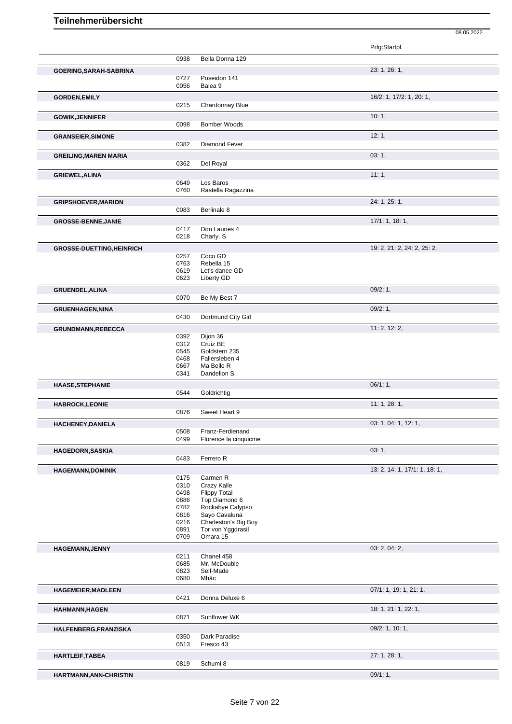|                                  |              |                                           | Prfg:Startpl.                 |
|----------------------------------|--------------|-------------------------------------------|-------------------------------|
|                                  | 0938         | Bella Donna 129                           |                               |
| GOERING, SARAH-SABRINA           |              |                                           | 23: 1, 26: 1,                 |
|                                  | 0727         | Poseidon 141                              |                               |
|                                  | 0056         | Balea 9                                   |                               |
| <b>GORDEN, EMILY</b>             |              |                                           | 16/2: 1, 17/2: 1, 20: 1,      |
|                                  | 0215         | Chardonnay Blue                           |                               |
| <b>GOWIK, JENNIFER</b>           |              |                                           | 10:1,                         |
|                                  | 0098         | <b>Bomber Woods</b>                       |                               |
| <b>GRANSEIER, SIMONE</b>         |              |                                           | 12:1,                         |
|                                  | 0382         | Diamond Fever                             |                               |
|                                  |              |                                           | 03:1,                         |
| <b>GREILING, MAREN MARIA</b>     | 0362         | Del Royal                                 |                               |
|                                  |              |                                           |                               |
| <b>GRIEWEL, ALINA</b>            | 0649         | Los Baros                                 | 11:1,                         |
|                                  | 0760         | Rastella Ragazzina                        |                               |
|                                  |              |                                           | 24: 1, 25: 1,                 |
| <b>GRIPSHOEVER, MARION</b>       | 0083         | Berlinale 8                               |                               |
|                                  |              |                                           |                               |
| <b>GROSSE-BENNE, JANIE</b>       |              |                                           | 17/1: 1, 18: 1,               |
|                                  | 0417<br>0218 | Don Lauries 4<br>Charly. S                |                               |
|                                  |              |                                           |                               |
| <b>GROSSE-DUETTING, HEINRICH</b> |              | Coco GD                                   | 19: 2, 21: 2, 24: 2, 25: 2,   |
|                                  | 0257<br>0763 | Rebella 15                                |                               |
|                                  | 0619         | Let's dance GD                            |                               |
|                                  | 0623         | Liberty GD                                |                               |
| <b>GRUENDEL, ALINA</b>           |              |                                           | 09/2:1,                       |
|                                  | 0070         | Be My Best 7                              |                               |
| <b>GRUENHAGEN, NINA</b>          |              |                                           | 09/2:1,                       |
|                                  | 0430         | Dortmund City Girl                        |                               |
|                                  |              |                                           | 11: 2, 12: 2,                 |
| <b>GRUNDMANN, REBECCA</b>        | 0392         | Dijon 36                                  |                               |
|                                  | 0312         | Cruiz BE                                  |                               |
|                                  | 0545         | Goldstern 235                             |                               |
|                                  | 0468         | Fallersleben 4                            |                               |
|                                  | 0667<br>0341 | Ma Belle R<br>Dandelion S                 |                               |
|                                  |              |                                           |                               |
| <b>HAASE, STEPHANIE</b>          | 0544         | Goldrichtig                               | 06/1:1,                       |
|                                  |              |                                           |                               |
| <b>HABROCK,LEONIE</b>            | 0876         |                                           | 11:1,28:1,                    |
|                                  |              | Sweet Heart 9                             |                               |
| HACHENEY, DANIELA                |              |                                           | 03: 1, 04: 1, 12: 1,          |
|                                  | 0508<br>0499 | Franz-Ferdienand<br>Florence la cinquicme |                               |
|                                  |              |                                           |                               |
| <b>HAGEDORN, SASKIA</b>          |              |                                           | 03:1,                         |
|                                  | 0483         | Ferrero R                                 |                               |
| <b>HAGEMANN,DOMINIK</b>          |              |                                           | 13: 2, 14: 1, 17/1: 1, 18: 1, |
|                                  | 0175<br>0310 | Carmen R<br>Crazy Kalle                   |                               |
|                                  | 0498         | <b>Flippy Total</b>                       |                               |
|                                  | 0886         | Top Diamond 6                             |                               |
|                                  | 0782         | Rockabye Calypso                          |                               |
|                                  | 0816         | Sayo Cavaluna                             |                               |
|                                  | 0216<br>0891 | Charleston's Big Boy<br>Tor von Yggdrasil |                               |
|                                  | 0709         | Omara 15                                  |                               |
| <b>HAGEMANN, JENNY</b>           |              |                                           | 03: 2, 04: 2,                 |
|                                  | 0211         | Chanel 458                                |                               |
|                                  | 0685         | Mr. McDouble                              |                               |
|                                  | 0823         | Self-Made                                 |                               |
|                                  | 0680         | Mhäc                                      |                               |
| <b>HAGEMEIER, MADLEEN</b>        |              |                                           | 07/1: 1, 19: 1, 21: 1,        |
|                                  | 0421         | Donna Deluxe 6                            |                               |
| <b>HAHMANN, HAGEN</b>            |              |                                           | 18: 1, 21: 1, 22: 1,          |
|                                  | 0871         | Sunflower WK                              |                               |
| HALFENBERG, FRANZISKA            |              |                                           | 09/2: 1, 10: 1,               |
|                                  | 0350         | Dark Paradise                             |                               |
|                                  | 0513         | Fresco 43                                 |                               |
| <b>HARTLEIF, TABEA</b>           |              |                                           | 27: 1, 28: 1,                 |
|                                  | 0819         | Schumi 8                                  |                               |

08.05.2022

**HARTMANN,ANN-CHRISTIN** 09/1: 1,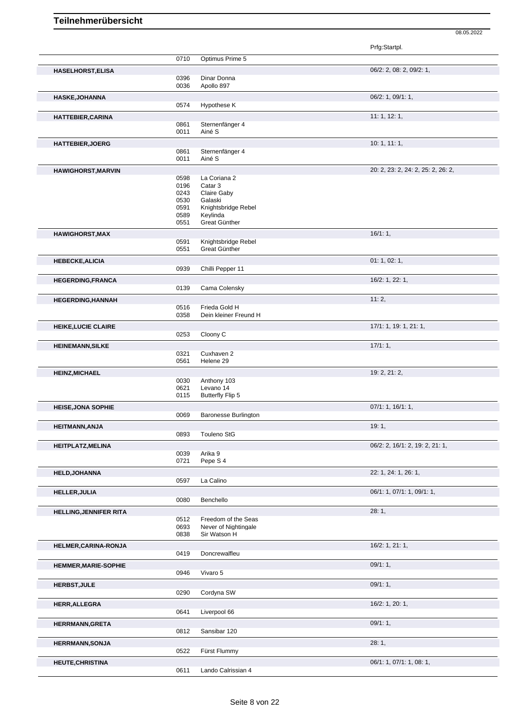|                               |              |                                      | Prfg:Startpl.                      |
|-------------------------------|--------------|--------------------------------------|------------------------------------|
|                               | 0710         | Optimus Prime 5                      |                                    |
| <b>HASELHORST, ELISA</b>      |              |                                      | 06/2: 2, 08: 2, 09/2: 1,           |
|                               | 0396         | Dinar Donna                          |                                    |
|                               | 0036         | Apollo 897                           |                                    |
| <b>HASKE, JOHANNA</b>         |              |                                      | 06/2: 1, 09/1: 1,                  |
|                               | 0574         | Hypothese K                          |                                    |
| <b>HATTEBIER, CARINA</b>      |              |                                      | 11: 1, 12: 1,                      |
|                               | 0861         | Sternenfänger 4                      |                                    |
|                               | 0011         | Ainé S                               |                                    |
| <b>HATTEBIER, JOERG</b>       |              |                                      | 10: 1, 11: 1,                      |
|                               | 0861<br>0011 | Sternenfänger 4<br>Ainé S            |                                    |
|                               |              |                                      |                                    |
| <b>HAWIGHORST, MARVIN</b>     | 0598         | La Coriana 2                         | 20: 2, 23: 2, 24: 2, 25: 2, 26: 2, |
|                               | 0196         | Catar 3                              |                                    |
|                               | 0243         | Claire Gaby                          |                                    |
|                               | 0530         | Galaski                              |                                    |
|                               | 0591<br>0589 | Knightsbridge Rebel<br>Keylinda      |                                    |
|                               | 0551         | Great Günther                        |                                    |
| <b>HAWIGHORST, MAX</b>        |              |                                      | 16/1:1,                            |
|                               | 0591         | Knightsbridge Rebel                  |                                    |
|                               | 0551         | Great Günther                        |                                    |
| <b>HEBECKE, ALICIA</b>        |              |                                      | 01: 1, 02: 1,                      |
|                               | 0939         | Chilli Pepper 11                     |                                    |
| <b>HEGERDING, FRANCA</b>      |              |                                      | 16/2: 1, 22: 1,                    |
|                               | 0139         | Cama Colensky                        |                                    |
| <b>HEGERDING, HANNAH</b>      |              |                                      | 11:2,                              |
|                               | 0516         | Frieda Gold H                        |                                    |
|                               | 0358         | Dein kleiner Freund H                |                                    |
| <b>HEIKE, LUCIE CLAIRE</b>    |              |                                      | 17/1: 1, 19: 1, 21: 1,             |
|                               | 0253         | Cloony C                             |                                    |
| <b>HEINEMANN, SILKE</b>       |              |                                      | 17/1:1,                            |
|                               | 0321         | Cuxhaven 2                           |                                    |
|                               | 0561         | Helene 29                            |                                    |
| <b>HEINZ, MICHAEL</b>         |              |                                      | 19: 2, 21: 2,                      |
|                               | 0030<br>0621 | Anthony 103<br>Levano 14             |                                    |
|                               | 0115         | <b>Butterfly Flip 5</b>              |                                    |
| <b>HEISE, JONA SOPHIE</b>     |              |                                      | 07/1: 1, 16/1: 1,                  |
|                               | 0069         | <b>Baronesse Burlington</b>          |                                    |
| <b>HEITMANN, ANJA</b>         |              |                                      | 19:1,                              |
|                               | 0893         | Touleno StG                          |                                    |
| <b>HEITPLATZ, MELINA</b>      |              |                                      | 06/2: 2, 16/1: 2, 19: 2, 21: 1,    |
|                               | 0039         | Arika 9                              |                                    |
|                               | 0721         | Pepe S 4                             |                                    |
| <b>HELD, JOHANNA</b>          |              |                                      | 22: 1, 24: 1, 26: 1,               |
|                               | 0597         | La Calino                            |                                    |
| <b>HELLER, JULIA</b>          |              |                                      | 06/1: 1, 07/1: 1, 09/1: 1,         |
|                               | 0080         | Benchello                            |                                    |
| <b>HELLING, JENNIFER RITA</b> |              |                                      | 28:1,                              |
|                               | 0512         | Freedom of the Seas                  |                                    |
|                               | 0693<br>0838 | Never of Nightingale<br>Sir Watson H |                                    |
|                               |              |                                      | 16/2: 1, 21: 1,                    |
| HELMER, CARINA-RONJA          | 0419         | Doncrewalfleu                        |                                    |
|                               |              |                                      |                                    |
| <b>HEMMER, MARIE-SOPHIE</b>   | 0946         | Vivaro 5                             | 09/1:1,                            |
|                               |              |                                      |                                    |
| <b>HERBST, JULE</b>           | 0290         | Cordyna SW                           | 09/1:1,                            |
|                               |              |                                      |                                    |
| <b>HERR, ALLEGRA</b>          | 0641         | Liverpool 66                         | 16/2: 1, 20: 1,                    |
|                               |              |                                      |                                    |
| <b>HERRMANN, GRETA</b>        | 0812         | Sansibar 120                         | 09/1:1,                            |
|                               |              |                                      |                                    |
| <b>HERRMANN, SONJA</b>        | 0522         | Fürst Flummy                         | 28:1,                              |
|                               |              |                                      |                                    |
| <b>HEUTE, CHRISTINA</b>       | 0611         | Lando Calrissian 4                   | 06/1: 1, 07/1: 1, 08: 1,           |
|                               |              |                                      |                                    |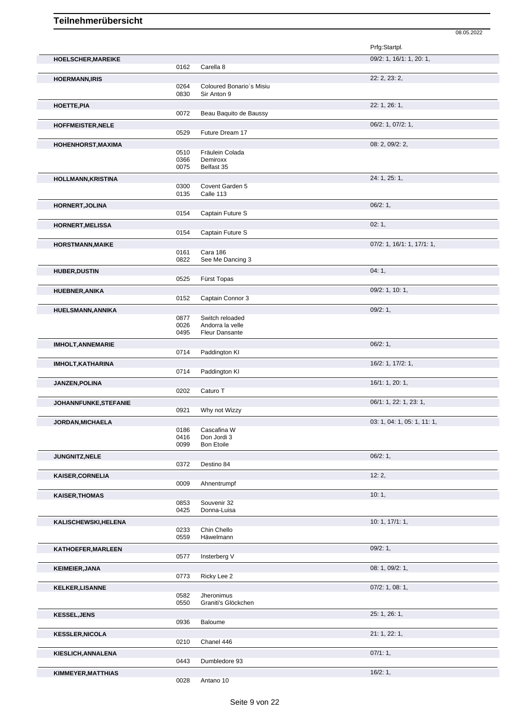|                           |              |                                   | 08.05.2022                  |
|---------------------------|--------------|-----------------------------------|-----------------------------|
|                           |              |                                   | Prfg:Startpl.               |
| HOELSCHER, MAREIKE        |              |                                   | 09/2: 1, 16/1: 1, 20: 1,    |
|                           | 0162         | Carella 8                         |                             |
| <b>HOERMANN, IRIS</b>     |              |                                   | 22: 2, 23: 2,               |
|                           | 0264         | Coloured Bonario's Misiu          |                             |
|                           | 0830         | Sir Anton 9                       |                             |
| HOETTE, PIA               |              |                                   | 22: 1, 26: 1,               |
|                           | 0072         | Beau Baquito de Baussy            |                             |
| <b>HOFFMEISTER, NELE</b>  |              | Future Dream 17                   | 06/2: 1, 07/2: 1,           |
|                           | 0529         |                                   |                             |
| HOHENHORST, MAXIMA        | 0510         | Fräulein Colada                   | 08: 2, 09/2: 2,             |
|                           | 0366         | Demiroxx                          |                             |
|                           | 0075         | Belfast 35                        |                             |
| <b>HOLLMANN, KRISTINA</b> |              |                                   | 24: 1, 25: 1,               |
|                           | 0300         | Covent Garden 5                   |                             |
|                           | 0135         | Calle 113                         |                             |
| <b>HORNERT, JOLINA</b>    |              |                                   | 06/2:1,                     |
|                           | 0154         | Captain Future S                  |                             |
| <b>HORNERT, MELISSA</b>   |              |                                   | 02:1,                       |
|                           | 0154         | Captain Future S                  |                             |
| <b>HORSTMANN, MAIKE</b>   | 0161         | Cara 186                          | 07/2: 1, 16/1: 1, 17/1: 1,  |
|                           | 0822         | See Me Dancing 3                  |                             |
| <b>HUBER, DUSTIN</b>      |              |                                   | 04:1,                       |
|                           | 0525         | Fürst Topas                       |                             |
| <b>HUEBNER, ANIKA</b>     |              |                                   | 09/2: 1, 10: 1,             |
|                           | 0152         | Captain Connor 3                  |                             |
| HUELSMANN, ANNIKA         |              |                                   | 09/2:1,                     |
|                           | 0877         | Switch reloaded                   |                             |
|                           | 0026         | Andorra la velle                  |                             |
|                           | 0495         | <b>Fleur Dansante</b>             |                             |
| <b>IMHOLT, ANNEMARIE</b>  | 0714         |                                   | 06/2:1,                     |
|                           |              | Paddington KI                     |                             |
| <b>IMHOLT, KATHARINA</b>  | 0714         | Paddington KI                     | 16/2: 1, 17/2: 1,           |
|                           |              |                                   |                             |
| JANZEN, POLINA            | 0202         | Caturo T                          | 16/1: 1, 20: 1,             |
|                           |              |                                   | 06/1: 1, 22: 1, 23: 1,      |
| JOHANNFUNKE, STEFANIE     | 0921         | Why not Wizzy                     |                             |
| <b>JORDAN, MICHAELA</b>   |              |                                   | 03: 1, 04: 1, 05: 1, 11: 1, |
|                           | 0186         | Cascafina W                       |                             |
|                           | 0416         | Don Jordi 3                       |                             |
|                           | 0099         | <b>Bon Etoile</b>                 |                             |
| JUNGNITZ, NELE            |              |                                   | 06/2:1,                     |
|                           | 0372         | Destino 84                        |                             |
| <b>KAISER, CORNELIA</b>   | 0009         | Ahnentrumpf                       | 12:2,                       |
|                           |              |                                   |                             |
| <b>KAISER, THOMAS</b>     | 0853         | Souvenir 32                       | 10:1,                       |
|                           | 0425         | Donna-Luisa                       |                             |
| KALISCHEWSKI, HELENA      |              |                                   | 10: 1, 17/1: 1,             |
|                           | 0233         | Chin Chello                       |                             |
|                           | 0559         | Häwelmann                         |                             |
| KATHOEFER, MARLEEN        |              |                                   | 09/2:1,                     |
|                           | 0577         | Insterberg V                      |                             |
| <b>KEIMEIER, JANA</b>     |              |                                   | 08: 1, 09/2: 1,             |
|                           | 0773         | Ricky Lee 2                       |                             |
| <b>KELKER, LISANNE</b>    |              |                                   | $07/2$ : 1, 08: 1,          |
|                           | 0582<br>0550 | Jheronimus<br>Graniti's Glöckchen |                             |
|                           |              |                                   | 25: 1, 26: 1,               |
| <b>KESSEL, JENS</b>       | 0936         | Baloume                           |                             |
|                           |              |                                   | 21: 1, 22: 1,               |
| <b>KESSLER, NICOLA</b>    | 0210         | Chanel 446                        |                             |
| KIESLICH, ANNALENA        |              |                                   | 07/1:1,                     |
|                           | 0443         | Dumbledore 93                     |                             |
| KIMMEYER, MATTHIAS        |              |                                   | 16/2:1,                     |
|                           | 0028         | Antano 10                         |                             |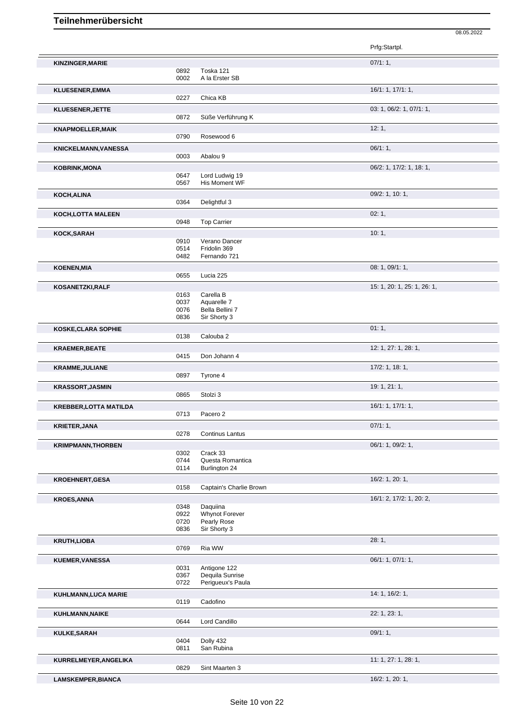Prfg:Startpl. **KINZINGER,MARIE** 0892 Toska 121 **1989 1999 1999 1999 1999 10:** 07/1: 1, 0892 Toska 121<br>0002 A la Erster A la Erster SB **KLUESENER,EMMA** 16/1: 1, 17/1: 1, 0227 Chica KB **KLUESENER,JETTE** 03: 1, 06/2: 1, 07/1: 1, Süße Verführung K **KNAPMOELLER,MAIK** 12: 1, Rosewood 6 **KNICKELMANN,VANESSA** 06/1: 1,<br>
0003 Abalou 9 Abalou 9 **KOBRINK,MONA** 06/2: 1, 17/2: 1, 18: 1, 0647 Lord Ludwig 19<br>0567 His Moment WF His Moment WF **KOCH,ALINA** 09/2: 1, 10: 1, 0364 Delightful 3 **KOCH, LOTTA MALEEN** 02: 1, 0948 Top Carrier 02: 1, 02: 1, 02: 1, Top Carrier **KOCK,SARAH** 10: 1, 1, 2001 10: 1, 2001 10: 1, 2001 10: 1, 2001 10: 1, 2002 1, 2004 1, 2004 1, 2004 1, 2004 1, 2004 1, 2004 1, 2004 1, 2004 1, 2004 1, 2004 1, 2004 1, 2004 1, 2004 1, 2004 1, 2004 1, 2004 1, 2004 1, 2004 1, 0910 Verano Dancer<br>0514 Fridolin 369 0514 Fridolin 369<br>0482 Fernando 72 Fernando 721 **KOENEN,MIA** 08: 1, 09/1: 1, 0655 Lucia 225 **KOSANETZKI,RALF** 15: 1, 26: 1, 26: 1, 26: 1, 26: 1, 26: 1, 25: 1, 26: 1, 25: 1, 25: 1, 26: 1, 25: 1, 25: 1, 26: 1, 0163 Carella B<br>0037 Aguarelle 0037 Aquarelle 7<br>0076 Bella Bellini 0076 Bella Bellini 7<br>0836 Sir Shorty 3 Sir Shorty 3 **KOSKE,CLARA SOPHIE** 01: 1, 0138 Calouba 2 **KRAEMER, BEATE** 12: 1, 27: 1, 28: 1, Don Johann 4 **KRAMME, JULIANE** 17/2: 1, 18: 1, Tyrone 4 **KRASSORT,JASMIN** 19: 1, 21: 1, Stolzi 3 **KREBBER,LOTTA MATILDA** 16/1: 1, 17/1: 1, 17/1: 1, 17/1: 1, 17/1: 1, 17/1: 1, 17/1: 1, 17/1: 1, 17/1: 1, 17/1: 1, 17/1: 1, 17/1: 1, 17/1: 1, 17/1: 1, 17/1: 1, 17/1: 1, 17/1: 1, 17/1: 1, 17/1: 1, 17/1: 1, 17/1: 1, 17/1: 1, 0713 Pacero 2 **KRIETER,JANA** 07/1: 1, 0278 Continus Lantus **KRIMPMANN,THORBEN** 06/1: 1, 09/2: 1, 0302 Crack 33<br>0744 Questa R 0744 Questa Romantica<br>0114 Burlington 24 Burlington 24 **KROEHNERT,GESA** 16/2: 1, 20: 1, Captain's Charlie Brown **KROES,ANNA** 16/1: 2, 17/2: 1, 20: 2, 0348 Daquiina<br>0922 Whynot F 0922 Whynot Forever<br>0720 Pearly Rose 0720 Pearly Rose<br>0836 Sir Shorty 3 Sir Shorty 3 **KRUTH,LIOBA** 28: 1, Ria WW **KUEMER, VANESSA** 06/1: 1, 07/1: 1, 06/1: 1, 07/1: 1, 06/1: 1, 07/1: 1, 06/1: 1, 07/1: 1, 06/1: 1, 07/1: 1, 07/1: 1, Antigone 122 0367 Dequila Sunrise<br>0722 Periqueux's Pau Perigueux's Paula **KUHLMANN,LUCA MARIE** 2119 Cadofino 2119 Cadofino 2119 2119 212 11 Cadofino **KUHLMANN,NAIKE** 22: 1, 23: 1, 0644 Lord Candillo **KULKE,SARAH** 09/1: 1, 0404 Dolly 432 0811 San Rubina **KURRELMEYER,ANGELIKA** 11: 1, 27: 1, 28: 1, Sint Maarten 3

**LAMSKEMPER,BIANCA** 16/2: 1, 20: 1,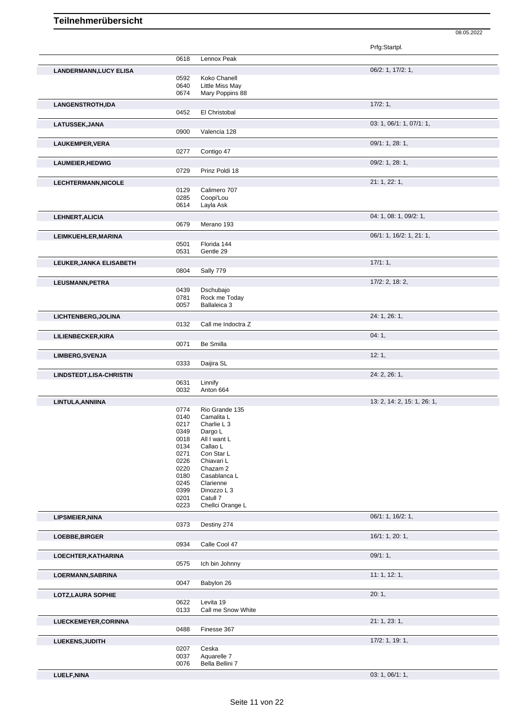Prfg:Startpl. 0618 Lennox Peak **LANDERMANN,LUCY ELISA** 06/2: 1, 17/2: 1, 0592 Koko Chanell 0640 Little Miss May 0674 Mary Poppins 88 **LANGENSTROTH,IDA** 17/2: 1, 0452 El Christobal **LATUSSEK,JANA** 03: 1, 06/1: 1, 07/1: 1, 0900 Valencia 128 **LAUKEMPER, VERA** 09/1: 1, 28: 1, 0277 Contigo 47 **LAUMEIER, HEDWIG** 09/2: 1, 28: 1, Prinz Poldi 18 **LECHTERMANN,NICOLE** 21: 1, 22: 1, 0129 Calimero 707<br>0285 Coopi'Lou 0285 Coopi'Lou<br>0614 Layla Ask Layla Ask **LEHNERT, ALICIA** 0679 Merano 193 Merano 193 **LEIMKUEHLER,MARINA** 06/1: 1, 16/2: 1, 21: 1, 0501 Florida 144<br>0531 Gentle 29 Gentle 29 **LEUKER, JANKA ELISABETH** 17/1: 1, 2004 Sally 779 Sally 779 **LEUSMANN,PETRA** 17/2: 2, 18: 2, 0439 Dschubajo<br>0781 Rock me T 0781 Rock me Today<br>0057 Ballaleica 3 Ballaleica 3 **LICHTENBERG,JOLINA** 24: 1, 26: 1, Call me Indoctra Z **LILIENBECKER,KIRA** 04: 1, 0071 Be Smilla 00071 Be Smilla 0071 Be Smilla **LIMBERG,SVENJA** 12: 1, Daijira SL **LINDSTEDT,LISA-CHRISTIN** 24: 2, 26: 1, 0631 Linnify 0032 Anton 664 **LINTULA,ANNIINA** 13: 2, 14: 2, 15: 1, 26: 1, 0774 Rio Grande 135<br>0140 Camalita L 0140 Camalita L<br>0217 Charlie L 3 0217 Charlie L 3<br>0349 Dargo L 0349 Dargo L<br>0018 All I wan 0018 All I want L<br>0134 Callao L 0134 Callao L<br>0271 Con Star 0271 Con Star L<br>0226 Chiavari L 0226 Chiavari L<br>0220 Chazam 2 0220 Chazam 2<br>0180 Casabland 0180 Casablanca L<br>0245 Clarienne 0245 Clarienne<br>0399 Dinozzo L 0399 Dinozzo L 3<br>0201 Catull 7 0201 Catull 7<br>0223 Chellci Chellci Orange L **LIPSMEIER,NINA** 06/1: 1, 16/2: 1, 0373 Destiny 274 **LOEBBE,BIRGER** 16/1: 1, 20: 1, 0934 Calle Cool 47 **LOECHTER,KATHARINA** 09/1: 1, 0575 Ich bin Johnny **LOERMANN,SABRINA** 11: 1, 12: 1, 0047 Babylon 26 **LOTZ,LAURA SOPHIE** 20: 1, 0622 Levita 19<br>0133 Call me S Call me Snow White **LUECKEMEYER,CORINNA** 21: 1, 23: 1, 0488 Finesse 367 **LUEKENS,JUDITH** 17/2: 1, 19: 1, 0207 Ceska<br>0037 Aquare 0037 Aquarelle 7<br>0076 Bella Bellini

08.05.2022

**LUELF,NINA** 03: 1, 06/1: 1,

Bella Bellini 7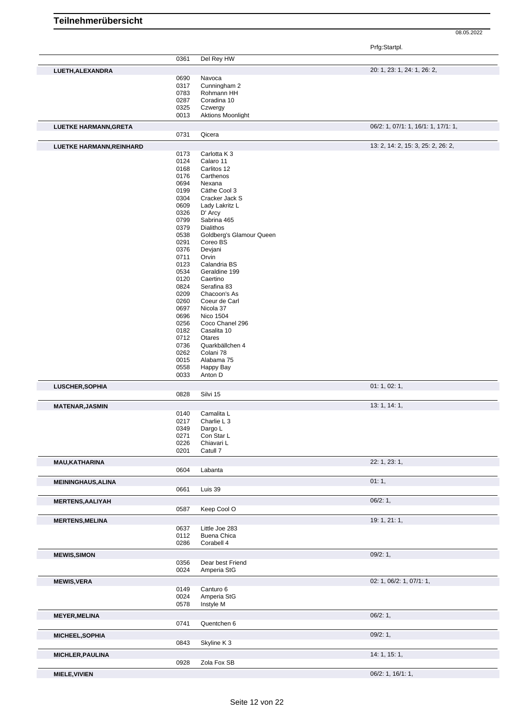|  | Teilnehmerübersicht |  |
|--|---------------------|--|
|  |                     |  |

Prfg:Startpl.

|                              | 0361 | Del Rey HW               |                                     |
|------------------------------|------|--------------------------|-------------------------------------|
|                              |      |                          |                                     |
| LUETH, ALEXANDRA             |      |                          | 20: 1, 23: 1, 24: 1, 26: 2,         |
|                              | 0690 | Navoca                   |                                     |
|                              | 0317 | Cunningham 2             |                                     |
|                              | 0783 | Rohmann HH               |                                     |
|                              | 0287 | Coradina 10              |                                     |
|                              | 0325 |                          |                                     |
|                              |      | Czwergy                  |                                     |
|                              | 0013 | <b>Aktions Moonlight</b> |                                     |
| <b>LUETKE HARMANN, GRETA</b> |      |                          | 06/2: 1, 07/1: 1, 16/1: 1, 17/1: 1, |
|                              |      |                          |                                     |
|                              | 0731 | Qicera                   |                                     |
| LUETKE HARMANN, REINHARD     |      |                          | 13: 2, 14: 2, 15: 3, 25: 2, 26: 2,  |
|                              |      |                          |                                     |
|                              | 0173 | Carlotta K 3             |                                     |
|                              | 0124 | Calaro 11                |                                     |
|                              | 0168 | Carlitos 12              |                                     |
|                              | 0176 | Carthenos                |                                     |
|                              | 0694 | Nexana                   |                                     |
|                              | 0199 | Cäthe Cool 3             |                                     |
|                              | 0304 | Cracker Jack S           |                                     |
|                              | 0609 | Lady Lakritz L           |                                     |
|                              |      |                          |                                     |
|                              | 0326 | D' Arcy                  |                                     |
|                              | 0799 | Sabrina 465              |                                     |
|                              | 0379 | Dialithos                |                                     |
|                              | 0538 | Goldberg's Glamour Queen |                                     |
|                              | 0291 | Coreo BS                 |                                     |
|                              | 0376 | Devjani                  |                                     |
|                              | 0711 | Orvin                    |                                     |
|                              |      |                          |                                     |
|                              | 0123 | Calandria BS             |                                     |
|                              | 0534 | Geraldine 199            |                                     |
|                              | 0120 | Caertino                 |                                     |
|                              | 0824 | Serafina 83              |                                     |
|                              | 0209 | Chacoon's As             |                                     |
|                              | 0260 | Coeur de Carl            |                                     |
|                              | 0697 | Nicola 37                |                                     |
|                              |      |                          |                                     |
|                              | 0696 | <b>Nico 1504</b>         |                                     |
|                              | 0256 | Coco Chanel 296          |                                     |
|                              | 0182 | Casalita 10              |                                     |
|                              | 0712 | Otares                   |                                     |
|                              | 0736 | Quarkbällchen 4          |                                     |
|                              | 0262 | Colani 78                |                                     |
|                              |      |                          |                                     |
|                              | 0015 | Alabama 75               |                                     |
|                              | 0558 | Happy Bay                |                                     |
|                              | 0033 | Anton D                  |                                     |
|                              |      |                          |                                     |
|                              |      |                          |                                     |
| LUSCHER, SOPHIA              |      |                          | 01: 1, 02: 1,                       |
|                              | 0828 | Silvi 15                 |                                     |
|                              |      |                          |                                     |
| <b>MATENAR, JASMIN</b>       |      |                          | 13: 1, 14: 1,                       |
|                              | 0140 | Camalita L               |                                     |
|                              | 0217 | Charlie L 3              |                                     |
|                              | 0349 | Dargo L                  |                                     |
|                              | 0271 | Con Star L               |                                     |
|                              | 0226 | Chiavari L               |                                     |
|                              |      |                          |                                     |
|                              | 0201 | Catull 7                 |                                     |
| <b>MAU, KATHARINA</b>        |      |                          | 22: 1, 23: 1,                       |
|                              |      |                          |                                     |
|                              | 0604 | Labanta                  |                                     |
| <b>MEININGHAUS, ALINA</b>    |      |                          | 01:1,                               |
|                              | 0661 | Luis 39                  |                                     |
|                              |      |                          |                                     |
| <b>MERTENS, AALIYAH</b>      |      |                          | 06/2:1,                             |
|                              | 0587 | Keep Cool O              |                                     |
|                              |      |                          |                                     |
| <b>MERTENS, MELINA</b>       |      |                          | 19: 1, 21: 1,                       |
|                              | 0637 | Little Joe 283           |                                     |
|                              |      |                          |                                     |
|                              | 0112 | Buena Chica              |                                     |
|                              | 0286 | Corabell 4               |                                     |
| <b>MEWIS, SIMON</b>          |      |                          | 09/2:1,                             |
|                              |      |                          |                                     |
|                              | 0356 | Dear best Friend         |                                     |
|                              | 0024 | Amperia StG              |                                     |
|                              |      |                          | 02: 1, 06/2: 1, 07/1: 1,            |
| <b>MEWIS, VERA</b>           |      |                          |                                     |
|                              | 0149 | Canturo 6                |                                     |
|                              | 0024 | Amperia StG              |                                     |
|                              | 0578 | Instyle M                |                                     |
|                              |      |                          |                                     |
| <b>MEYER, MELINA</b>         |      |                          | 06/2:1,                             |
|                              | 0741 | Quentchen 6              |                                     |
|                              |      |                          |                                     |
| MICHEEL, SOPHIA              |      |                          | 09/2:1,                             |
|                              | 0843 | Skyline K3               |                                     |
|                              |      |                          |                                     |
| <b>MICHLER, PAULINA</b>      |      |                          | 14: 1, 15: 1,                       |
|                              | 0928 | Zola Fox SB              |                                     |
| <b>MIELE, VIVIEN</b>         |      |                          | 06/2: 1, 16/1: 1,                   |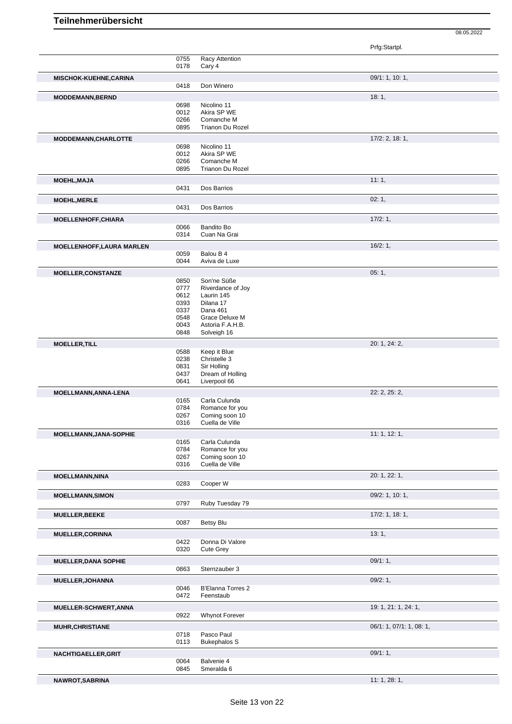|                                  |              |                                    | Prfg:Startpl.            |
|----------------------------------|--------------|------------------------------------|--------------------------|
|                                  | 0755         | Racy Attention                     |                          |
|                                  | 0178         | Cary 4                             |                          |
| MISCHOK-KUEHNE,CARINA            |              |                                    | 09/1: 1, 10: 1,          |
|                                  | 0418         | Don Winero                         |                          |
|                                  |              |                                    |                          |
| <b>MODDEMANN, BERND</b>          |              |                                    | 18:1,                    |
|                                  | 0698<br>0012 | Nicolino 11<br>Akira SP WE         |                          |
|                                  | 0266         | Comanche M                         |                          |
|                                  | 0895         | Trianon Du Rozel                   |                          |
|                                  |              |                                    |                          |
| MODDEMANN, CHARLOTTE             |              |                                    | $17/2$ : 2, 18: 1,       |
|                                  | 0698         | Nicolino 11                        |                          |
|                                  | 0012<br>0266 | Akira SP WE<br>Comanche M          |                          |
|                                  | 0895         | Trianon Du Rozel                   |                          |
|                                  |              |                                    |                          |
| <b>MOEHL, MAJA</b>               |              |                                    | 11:1,                    |
|                                  | 0431         | Dos Barrios                        |                          |
| <b>MOEHL, MERLE</b>              |              |                                    | 02:1,                    |
|                                  | 0431         | Dos Barrios                        |                          |
| <b>MOELLENHOFF, CHIARA</b>       |              |                                    | 17/2:1,                  |
|                                  | 0066         | <b>Bandito Bo</b>                  |                          |
|                                  | 0314         | Cuan Na Grai                       |                          |
|                                  |              |                                    |                          |
| <b>MOELLENHOFF, LAURA MARLEN</b> |              |                                    | 16/2:1,                  |
|                                  | 0059         | Balou B 4                          |                          |
|                                  | 0044         | Aviva de Luxe                      |                          |
| <b>MOELLER, CONSTANZE</b>        |              |                                    | 05:1,                    |
|                                  | 0850         | Son'ne Süße                        |                          |
|                                  | 0777         | Riverdance of Joy                  |                          |
|                                  | 0612         | Laurin 145                         |                          |
|                                  | 0393         | Dilana 17                          |                          |
|                                  | 0337         | Dana 461                           |                          |
|                                  | 0548<br>0043 | Grace Deluxe M<br>Astoria F.A.H.B. |                          |
|                                  | 0848         | Solveigh 16                        |                          |
|                                  |              |                                    |                          |
| <b>MOELLER, TILL</b>             |              |                                    | 20: 1, 24: 2,            |
|                                  | 0588<br>0238 | Keep it Blue<br>Christelle 3       |                          |
|                                  | 0831         | Sir Holling                        |                          |
|                                  | 0437         | Dream of Holling                   |                          |
|                                  | 0641         | Liverpool 66                       |                          |
|                                  |              |                                    |                          |
| MOELLMANN, ANNA-LENA             |              |                                    | 22: 2, 25: 2,            |
|                                  | 0165<br>0784 | Carla Culunda<br>Romance for you   |                          |
|                                  | 0267         | Coming soon 10                     |                          |
|                                  | 0316         | Cuella de Ville                    |                          |
|                                  |              |                                    |                          |
| <b>MOELLMANN, JANA-SOPHIE</b>    |              |                                    | 11:1, 12:1,              |
|                                  | 0165<br>0784 | Carla Culunda                      |                          |
|                                  | 0267         | Romance for you<br>Coming soon 10  |                          |
|                                  | 0316         | Cuella de Ville                    |                          |
|                                  |              |                                    |                          |
| <b>MOELLMANN, NINA</b>           |              |                                    | 20: 1, 22: 1,            |
|                                  | 0283         | Cooper W                           |                          |
| <b>MOELLMANN, SIMON</b>          |              |                                    | 09/2: 1, 10: 1,          |
|                                  | 0797         | Ruby Tuesday 79                    |                          |
| MUELLER, BEEKE                   |              |                                    | $17/2$ : 1, 18: 1,       |
|                                  | 0087         | Betsy Blu                          |                          |
|                                  |              |                                    |                          |
| <b>MUELLER, CORINNA</b>          |              |                                    | 13:1,                    |
|                                  | 0422         | Donna Di Valore                    |                          |
|                                  | 0320         | <b>Cute Grey</b>                   |                          |
| <b>MUELLER, DANA SOPHIE</b>      |              |                                    | 09/1:1,                  |
|                                  | 0863         | Sternzauber 3                      |                          |
| MUELLER, JOHANNA                 |              |                                    | 09/2: 1,                 |
|                                  | 0046         | <b>B'Elanna Torres 2</b>           |                          |
|                                  | 0472         | Feenstaub                          |                          |
|                                  |              |                                    |                          |
| MUELLER-SCHWERT, ANNA            |              |                                    | 19: 1, 21: 1, 24: 1,     |
|                                  | 0922         | Whynot Forever                     |                          |
| <b>MUHR, CHRISTIANE</b>          |              |                                    | 06/1: 1, 07/1: 1, 08: 1, |
|                                  | 0718         | Pasco Paul                         |                          |
|                                  | 0113         | <b>Bukephalos S</b>                |                          |
| NACHTIGAELLER, GRIT              |              |                                    | 09/1:1,                  |
|                                  | 0064         | Balvenie 4                         |                          |
|                                  | 0845         | Smeralda 6                         |                          |
| NAWROT, SABRINA                  |              |                                    | 11: 1, 28: 1,            |
|                                  |              |                                    |                          |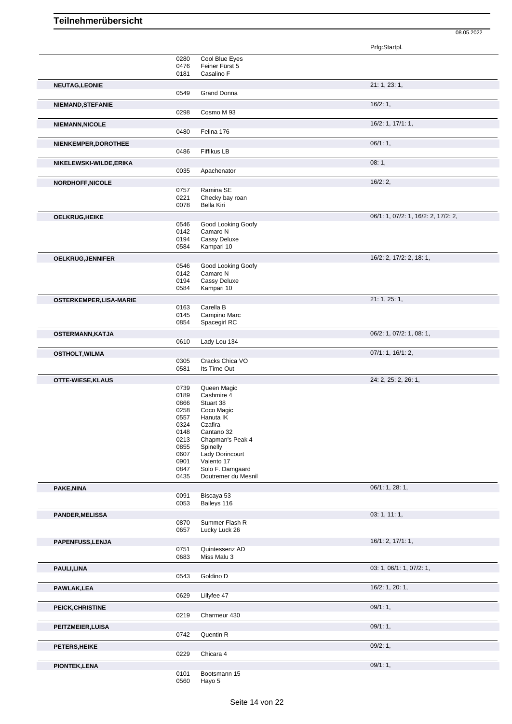|                               |              |                                         | Prfg:Startpl.                       |
|-------------------------------|--------------|-----------------------------------------|-------------------------------------|
|                               | 0280         | Cool Blue Eyes                          |                                     |
|                               | 0476         | Feiner Fürst 5                          |                                     |
|                               | 0181         | Casalino F                              |                                     |
| <b>NEUTAG,LEONIE</b>          |              |                                         | 21: 1, 23: 1,                       |
|                               | 0549         | <b>Grand Donna</b>                      |                                     |
|                               |              |                                         |                                     |
| NIEMAND, STEFANIE             |              |                                         | 16/2:1,                             |
|                               | 0298         | Cosmo M 93                              |                                     |
| <b>NIEMANN, NICOLE</b>        |              |                                         | 16/2: 1, 17/1: 1,                   |
|                               | 0480         | Felina 176                              |                                     |
|                               |              |                                         |                                     |
| NIENKEMPER, DOROTHEE          |              |                                         | 06/1:1,                             |
|                               | 0486         | Fiffikus LB                             |                                     |
| NIKELEWSKI-WILDE, ERIKA       |              |                                         | 08:1,                               |
|                               | 0035         | Apachenator                             |                                     |
|                               |              |                                         | 16/2:2,                             |
| NORDHOFF, NICOLE              | 0757         | Ramina SE                               |                                     |
|                               | 0221         | Checky bay roan                         |                                     |
|                               | 0078         | <b>Bella Kiri</b>                       |                                     |
|                               |              |                                         |                                     |
| <b>OELKRUG, HEIKE</b>         |              |                                         | 06/1: 1, 07/2: 1, 16/2: 2, 17/2: 2, |
|                               | 0546         | Good Looking Goofy                      |                                     |
|                               | 0142         | Camaro N                                |                                     |
|                               | 0194         | Cassy Deluxe                            |                                     |
|                               | 0584         | Kampari 10                              |                                     |
| OELKRUG, JENNIFER             |              |                                         | 16/2: 2, 17/2: 2, 18: 1,            |
|                               | 0546         | Good Looking Goofy                      |                                     |
|                               | 0142         | Camaro N                                |                                     |
|                               | 0194         | Cassy Deluxe                            |                                     |
|                               | 0584         | Kampari 10                              |                                     |
| <b>OSTERKEMPER,LISA-MARIE</b> |              |                                         | 21: 1, 25: 1,                       |
|                               | 0163         | Carella B                               |                                     |
|                               | 0145         | Campino Marc                            |                                     |
|                               | 0854         | Spacegirl RC                            |                                     |
|                               |              |                                         |                                     |
| OSTERMANN, KATJA              |              |                                         | 06/2: 1, 07/2: 1, 08: 1,            |
|                               | 0610         | Lady Lou 134                            |                                     |
| <b>OSTHOLT, WILMA</b>         |              |                                         | 07/1: 1, 16/1: 2,                   |
|                               | 0305         | Cracks Chica VO                         |                                     |
|                               | 0581         | Its Time Out                            |                                     |
| OTTE-WIESE, KLAUS             |              |                                         | 24: 2, 25: 2, 26: 1,                |
|                               | 0739         | Queen Magic                             |                                     |
|                               | 0189         | Cashmire 4                              |                                     |
|                               | 0866         | Stuart 38                               |                                     |
|                               | 0258         | Coco Magic                              |                                     |
|                               | 0557         | Hanuta IK                               |                                     |
|                               | 0324         | Czafira                                 |                                     |
|                               | 0148         | Cantano 32                              |                                     |
|                               | 0213         | Chapman's Peak 4                        |                                     |
|                               | 0855         | Spinelly                                |                                     |
|                               | 0607         | Lady Dorincourt                         |                                     |
|                               | 0901         | Valento 17                              |                                     |
|                               | 0847<br>0435 | Solo F. Damgaard<br>Doutremer du Mesnil |                                     |
|                               |              |                                         |                                     |
| PAKE, NINA                    |              |                                         | 06/1: 1, 28: 1,                     |
|                               | 0091         | Biscaya 53                              |                                     |
|                               | 0053         | Baileys 116                             |                                     |
| <b>PANDER, MELISSA</b>        |              |                                         | 03:1, 11:1,                         |
|                               | 0870         | Summer Flash R                          |                                     |
|                               | 0657         | Lucky Luck 26                           |                                     |
|                               |              |                                         | 16/1: 2, 17/1: 1,                   |
| PAPENFUSS, LENJA              | 0751         | Quintessenz AD                          |                                     |
|                               | 0683         | Miss Malu 3                             |                                     |
|                               |              |                                         |                                     |
| PAULI, LINA                   |              |                                         | 03: 1, 06/1: 1, 07/2: 1,            |
|                               | 0543         | Goldino D                               |                                     |
| <b>PAWLAK,LEA</b>             |              |                                         | 16/2: 1, 20: 1,                     |
|                               | 0629         | Lillyfee 47                             |                                     |
|                               |              |                                         |                                     |
| PEICK, CHRISTINE              |              |                                         | 09/1:1,                             |
|                               | 0219         | Charmeur 430                            |                                     |
| PEITZMEIER, LUISA             |              |                                         | 09/1:1,                             |
|                               | 0742         | Quentin R                               |                                     |
|                               |              |                                         |                                     |
| <b>PETERS, HEIKE</b>          |              |                                         | 09/2:1,                             |
|                               |              |                                         |                                     |
|                               | 0229         | Chicara 4                               |                                     |
| <b>PIONTEK, LENA</b>          |              |                                         | 09/1:1,                             |

08.05.2022

Hayo 5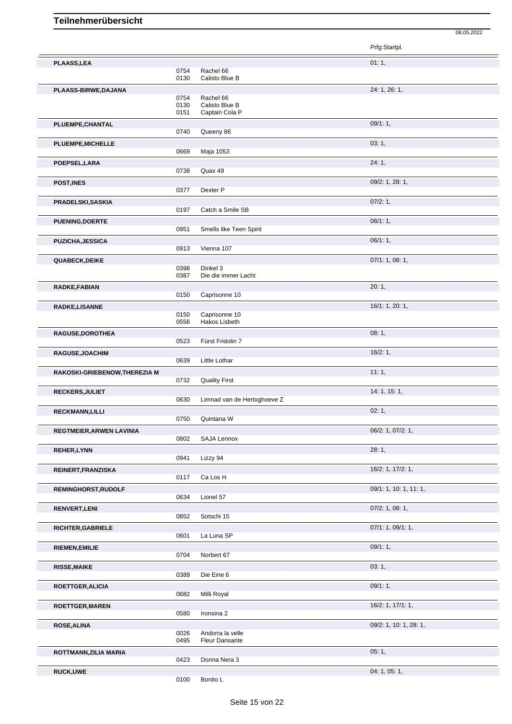|                               |              |                                | Prfg:Startpl.           |
|-------------------------------|--------------|--------------------------------|-------------------------|
| <b>PLAASS,LEA</b>             |              |                                | 01:1,                   |
|                               | 0754         | Rachel 66                      |                         |
|                               | 0130         | Calisto Blue B                 |                         |
| PLAASS-BIRWE, DAJANA          |              |                                | 24: 1, 26: 1,           |
|                               | 0754<br>0130 | Rachel 66<br>Calisto Blue B    |                         |
|                               | 0151         | Captain Cola P                 |                         |
| PLUEMPE, CHANTAL              |              |                                | 09/1:1,                 |
|                               | 0740         | Queeny 86                      |                         |
| PLUEMPE, MICHELLE             |              |                                | 03:1,                   |
|                               | 0669         | Maja 1053                      |                         |
| POEPSEL, LARA                 |              |                                | 24:1,                   |
|                               | 0738         | Quax 49                        |                         |
| POST, INES                    |              |                                | 09/2: 1, 28: 1,         |
|                               | 0377         | Dexter P                       |                         |
| PRADELSKI, SASKIA             |              |                                | 07/2:1,                 |
|                               | 0197         | Catch a Smile SB               |                         |
| <b>PUENING, DOERTE</b>        | 0951         | Smells like Teen Spirit        | 06/1:1,                 |
|                               |              |                                |                         |
| <b>PUZICHA, JESSICA</b>       | 0913         | Vienna 107                     | 06/1:1,                 |
|                               |              |                                | 07/1: 1, 08: 1,         |
| <b>QUABECK, DEIKE</b>         | 0398         | Dinkel 3                       |                         |
|                               | 0387         | Die die immer Lacht            |                         |
| RADKE, FABIAN                 |              |                                | 20:1,                   |
|                               | 0150         | Caprisonne 10                  |                         |
| <b>RADKE,LISANNE</b>          |              |                                | 16/1: 1, 20: 1,         |
|                               | 0150<br>0556 | Caprisonne 10<br>Hakos Lisbeth |                         |
|                               |              |                                | 08:1,                   |
| RAGUSE, DOROTHEA              | 0523         | Fürst Fridolin 7               |                         |
| RAGUSE, JOACHIM               |              |                                | 16/2:1,                 |
|                               | 0639         | Little Lothar                  |                         |
| RAKOSKI-GRIEBENOW, THEREZIA M |              |                                | 11:1,                   |
|                               | 0732         | <b>Quality First</b>           |                         |
| RECKERS, JULIET               |              |                                | 14: 1, 15: 1,           |
|                               | 0630         | Limnad van de Hertoghoeve Z    |                         |
| <b>RECKMANN,LILLI</b>         |              |                                | 02:1,                   |
|                               | 0750         | Quintana W                     |                         |
| REGTMEIER, ARWEN LAVINIA      |              |                                | 06/2: 1, 07/2: 1,       |
|                               | 0802         | SAJA Lennox                    |                         |
| <b>REHER, LYNN</b>            |              |                                | 28:1,                   |
|                               | 0941         | Lizzy 94                       |                         |
| REINERT, FRANZISKA            | 0117         | Ca Los H                       | 16/2: 1, 17/2: 1,       |
|                               |              |                                | 09/1: 1, 10: 1, 11: 1,  |
| <b>REMINGHORST, RUDOLF</b>    | 0634         | Lionel 57                      |                         |
| <b>RENVERT, LENI</b>          |              |                                | $07/2$ : 1, 08: 1,      |
|                               | 0852         | Sotschi 15                     |                         |
| <b>RICHTER, GABRIELE</b>      |              |                                | 07/1: 1, 09/1: 1,       |
|                               | 0601         | La Luna SP                     |                         |
| <b>RIEMEN, EMILIE</b>         |              |                                | 09/1:1,                 |
|                               | 0704         | Norbert 67                     |                         |
| <b>RISSE, MAIKE</b>           |              |                                | 03:1,                   |
|                               | 0389         | Die Eine 6                     |                         |
| ROETTGER, ALICIA              |              |                                | 09/1:1,                 |
|                               | 0682         | Milli Royal                    |                         |
| <b>ROETTGER, MAREN</b>        | 0580         | Ironsina 2                     | $16/2$ : 1, $17/1$ : 1, |
|                               |              |                                |                         |
| <b>ROSE, ALINA</b>            | 0026         | Andorra la velle               | 09/2: 1, 10: 1, 28: 1,  |
|                               | 0495         | <b>Fleur Dansante</b>          |                         |
| ROTTMANN, ZILIA MARIA         |              |                                | 05:1,                   |
|                               | 0423         | Donna Nera 3                   |                         |
| <b>RUCK,UWE</b>               |              |                                | 04: 1, 05: 1,           |
|                               | 0100         | Bonito L                       |                         |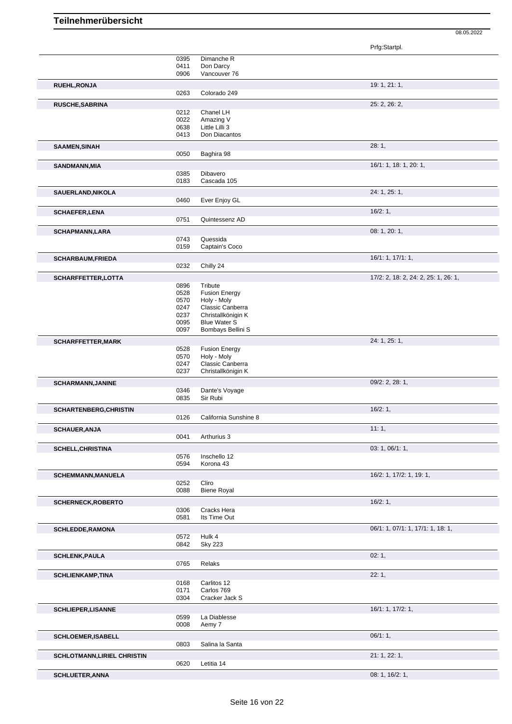|                                    |      |                       | Prfg:Startpl.                        |  |
|------------------------------------|------|-----------------------|--------------------------------------|--|
|                                    | 0395 | Dimanche R            |                                      |  |
|                                    | 0411 | Don Darcy             |                                      |  |
|                                    | 0906 | Vancouver 76          |                                      |  |
|                                    |      |                       |                                      |  |
| RUEHL, RONJA                       |      |                       | 19: 1, 21: 1,                        |  |
|                                    | 0263 | Colorado 249          |                                      |  |
| RUSCHE, SABRINA                    |      |                       | 25: 2, 26: 2,                        |  |
|                                    | 0212 | Chanel LH             |                                      |  |
|                                    | 0022 | Amazing V             |                                      |  |
|                                    | 0638 | Little Lilli 3        |                                      |  |
|                                    | 0413 | Don Diacantos         |                                      |  |
| <b>SAAMEN, SINAH</b>               |      |                       | 28:1,                                |  |
|                                    | 0050 | Baghira 98            |                                      |  |
|                                    |      |                       |                                      |  |
| SANDMANN, MIA                      |      |                       | 16/1: 1, 18: 1, 20: 1,               |  |
|                                    | 0385 | Dibavero              |                                      |  |
|                                    | 0183 | Cascada 105           |                                      |  |
| SAUERLAND, NIKOLA                  |      |                       | 24: 1, 25: 1,                        |  |
|                                    | 0460 | Ever Enjoy GL         |                                      |  |
|                                    |      |                       |                                      |  |
| <b>SCHAEFER, LENA</b>              |      |                       | 16/2:1,                              |  |
|                                    | 0751 | Quintessenz AD        |                                      |  |
| <b>SCHAPMANN,LARA</b>              |      |                       | 08: 1, 20: 1,                        |  |
|                                    | 0743 | Quessida              |                                      |  |
|                                    | 0159 | Captain's Coco        |                                      |  |
|                                    |      |                       | 16/1: 1, 17/1: 1,                    |  |
| <b>SCHARBAUM, FRIEDA</b>           | 0232 | Chilly 24             |                                      |  |
|                                    |      |                       |                                      |  |
| SCHARFFETTER, LOTTA                |      |                       | 17/2: 2, 18: 2, 24: 2, 25: 1, 26: 1, |  |
|                                    | 0896 | Tribute               |                                      |  |
|                                    | 0528 | <b>Fusion Energy</b>  |                                      |  |
|                                    | 0570 | Holy - Moly           |                                      |  |
|                                    | 0247 | Classic Canberra      |                                      |  |
|                                    | 0237 | Christallkönigin K    |                                      |  |
|                                    | 0095 | <b>Blue Water S</b>   |                                      |  |
|                                    | 0097 | Bombays Bellini S     |                                      |  |
| <b>SCHARFFETTER, MARK</b>          |      |                       | 24: 1, 25: 1,                        |  |
|                                    | 0528 | <b>Fusion Energy</b>  |                                      |  |
|                                    | 0570 | Holy - Moly           |                                      |  |
|                                    | 0247 | Classic Canberra      |                                      |  |
|                                    | 0237 | Christallkönigin K    |                                      |  |
| <b>SCHARMANN, JANINE</b>           |      |                       | 09/2: 2, 28: 1,                      |  |
|                                    | 0346 | Dante's Voyage        |                                      |  |
|                                    | 0835 | Sir Rubi              |                                      |  |
|                                    |      |                       | 16/2:1,                              |  |
| <b>SCHARTENBERG, CHRISTIN</b>      | 0126 | California Sunshine 8 |                                      |  |
|                                    |      |                       |                                      |  |
| <b>SCHAUER, ANJA</b>               |      |                       | 11:1,                                |  |
|                                    | 0041 | Arthurius 3           |                                      |  |
| <b>SCHELL, CHRISTINA</b>           |      |                       | 03: 1, 06/1: 1,                      |  |
|                                    | 0576 | Inschello 12          |                                      |  |
|                                    | 0594 | Korona 43             |                                      |  |
|                                    |      |                       |                                      |  |
| <b>SCHEMMANN, MANUELA</b>          |      |                       |                                      |  |
|                                    |      |                       | 16/2: 1, 17/2: 1, 19: 1,             |  |
|                                    | 0252 | Cliro                 |                                      |  |
|                                    | 0088 | <b>Biene Royal</b>    |                                      |  |
|                                    |      |                       |                                      |  |
| <b>SCHERNECK, ROBERTO</b>          |      |                       | 16/2:1,                              |  |
|                                    | 0306 | Cracks Hera           |                                      |  |
|                                    | 0581 | Its Time Out          |                                      |  |
| <b>SCHLEDDE, RAMONA</b>            |      |                       | 06/1: 1, 07/1: 1, 17/1: 1, 18: 1,    |  |
|                                    | 0572 | Hulk 4                |                                      |  |
|                                    | 0842 | <b>Sky 223</b>        |                                      |  |
| <b>SCHLENK, PAULA</b>              |      |                       | 02:1,                                |  |
|                                    | 0765 | Relaks                |                                      |  |
|                                    |      |                       |                                      |  |
| <b>SCHLIENKAMP,TINA</b>            |      |                       | 22:1,                                |  |
|                                    | 0168 | Carlitos 12           |                                      |  |
|                                    | 0171 | Carlos 769            |                                      |  |
|                                    | 0304 | Cracker Jack S        |                                      |  |
| <b>SCHLIEPER, LISANNE</b>          |      |                       | 16/1: 1, 17/2: 1,                    |  |
|                                    | 0599 | La Diablesse          |                                      |  |
|                                    | 0008 | Aemy 7                |                                      |  |
|                                    |      |                       |                                      |  |
| <b>SCHLOEMER, ISABELL</b>          |      |                       | 06/1:1,                              |  |
|                                    | 0803 | Salina la Santa       |                                      |  |
| <b>SCHLOTMANN, LIRIEL CHRISTIN</b> |      |                       | 21: 1, 22: 1,                        |  |
|                                    | 0620 | Letitia 14            |                                      |  |
| <b>SCHLUETER, ANNA</b>             |      |                       | 08: 1, 16/2: 1,                      |  |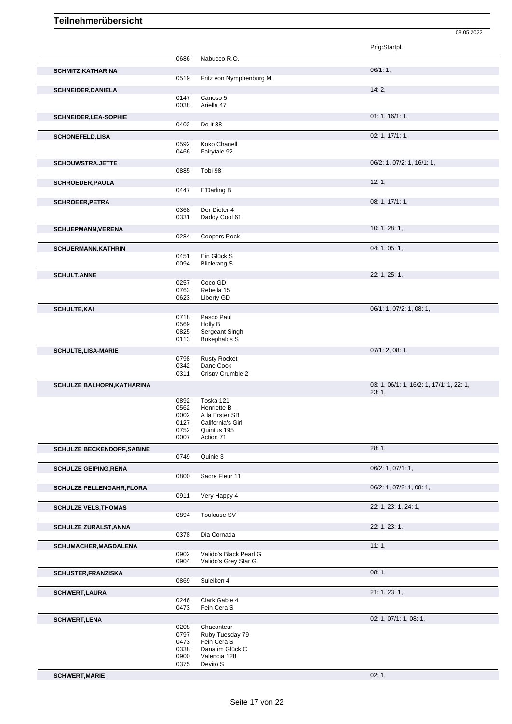|                                   |              |                                  | Prfg:Startpl.                            |
|-----------------------------------|--------------|----------------------------------|------------------------------------------|
|                                   | 0686         | Nabucco R.O.                     |                                          |
| <b>SCHMITZ, KATHARINA</b>         |              |                                  | 06/1:1,                                  |
|                                   | 0519         | Fritz von Nymphenburg M          |                                          |
| <b>SCHNEIDER, DANIELA</b>         |              |                                  | 14:2,                                    |
|                                   | 0147<br>0038 | Canoso 5<br>Ariella 47           |                                          |
|                                   |              |                                  |                                          |
| SCHNEIDER, LEA-SOPHIE             | 0402         | Do it 38                         | 01: 1, 16/1: 1,                          |
|                                   |              |                                  | 02: 1, 17/1: 1,                          |
| <b>SCHONEFELD,LISA</b>            | 0592         | Koko Chanell                     |                                          |
|                                   | 0466         | Fairytale 92                     |                                          |
| <b>SCHOUWSTRA, JETTE</b>          |              |                                  | 06/2: 1, 07/2: 1, 16/1: 1,               |
|                                   | 0885         | Tobi 98                          |                                          |
| <b>SCHROEDER, PAULA</b>           |              |                                  | 12:1,                                    |
|                                   | 0447         | E'Darling B                      |                                          |
| <b>SCHROEER, PETRA</b>            |              |                                  | 08: 1, 17/1: 1,                          |
|                                   | 0368<br>0331 | Der Dieter 4<br>Daddy Cool 61    |                                          |
|                                   |              |                                  |                                          |
| <b>SCHUEPMANN, VERENA</b>         | 0284         | Coopers Rock                     | 10: 1, 28: 1,                            |
|                                   |              |                                  |                                          |
| <b>SCHUERMANN, KATHRIN</b>        | 0451         | Ein Glück S                      | 04: 1, 05: 1,                            |
|                                   | 0094         | <b>Blickvang S</b>               |                                          |
| <b>SCHULT, ANNE</b>               |              |                                  | 22: 1, 25: 1,                            |
|                                   | 0257         | Coco GD                          |                                          |
|                                   | 0763         | Rebella 15                       |                                          |
|                                   | 0623         | Liberty GD                       |                                          |
| <b>SCHULTE, KAI</b>               | 0718         | Pasco Paul                       | 06/1: 1, 07/2: 1, 08: 1,                 |
|                                   | 0569         | Holly B                          |                                          |
|                                   | 0825         | Sergeant Singh                   |                                          |
|                                   | 0113         | <b>Bukephalos S</b>              |                                          |
| <b>SCHULTE, LISA-MARIE</b>        |              |                                  | 07/1: 2, 08: 1,                          |
|                                   | 0798<br>0342 | <b>Rusty Rocket</b><br>Dane Cook |                                          |
|                                   | 0311         | Crispy Crumble 2                 |                                          |
| SCHULZE BALHORN, KATHARINA        |              |                                  | 03: 1, 06/1: 1, 16/2: 1, 17/1: 1, 22: 1, |
|                                   |              |                                  | 23:1,                                    |
|                                   | 0892<br>0562 | Toska 121<br>Henriette B         |                                          |
|                                   | 0002         | A la Erster SB                   |                                          |
|                                   | 0127         | California's Girl                |                                          |
|                                   | 0752<br>0007 | Quintus 195<br>Action 71         |                                          |
| <b>SCHULZE BECKENDORF, SABINE</b> |              |                                  | 28:1,                                    |
|                                   | 0749         | Quinie 3                         |                                          |
| <b>SCHULZE GEIPING, RENA</b>      |              |                                  | 06/2: 1, 07/1: 1,                        |
|                                   | 0800         | Sacre Fleur 11                   |                                          |
| <b>SCHULZE PELLENGAHR, FLORA</b>  |              |                                  | 06/2: 1, 07/2: 1, 08: 1,                 |
|                                   | 0911         | Very Happy 4                     |                                          |
| <b>SCHULZE VELS, THOMAS</b>       |              |                                  | 22: 1, 23: 1, 24: 1,                     |
|                                   | 0894         | Toulouse SV                      |                                          |
| <b>SCHULZE ZURALST, ANNA</b>      |              |                                  | 22: 1, 23: 1,                            |
|                                   | 0378         | Dia Cornada                      |                                          |
| SCHUMACHER, MAGDALENA             |              |                                  | 11:1,                                    |
|                                   | 0902         | Valido's Black Pearl G           |                                          |
|                                   | 0904         | Valido's Grey Star G             |                                          |
| <b>SCHUSTER, FRANZISKA</b>        |              |                                  | 08:1,                                    |
|                                   | 0869         | Suleiken 4                       |                                          |
| <b>SCHWERT, LAURA</b>             |              |                                  | 21: 1, 23: 1,                            |
|                                   | 0246<br>0473 | Clark Gable 4<br>Fein Cera S     |                                          |
|                                   |              |                                  |                                          |
| <b>SCHWERT, LENA</b>              | 0208         | Chaconteur                       | 02: 1, 07/1: 1, 08: 1,                   |
|                                   | 0797         | Ruby Tuesday 79                  |                                          |
|                                   | 0473         | Fein Cera S                      |                                          |
|                                   | 0338         | Dana im Glück C                  |                                          |
|                                   |              |                                  |                                          |
|                                   | 0900<br>0375 | Valencia 128<br>Devito S         |                                          |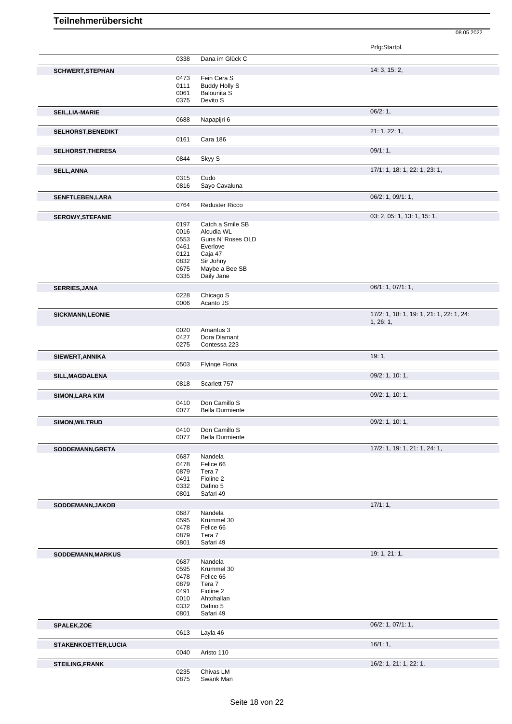|                            |              |                        | Prfg:Startpl.                            |
|----------------------------|--------------|------------------------|------------------------------------------|
|                            | 0338         | Dana im Glück C        |                                          |
|                            |              |                        |                                          |
| <b>SCHWERT, STEPHAN</b>    |              | Fein Cera S            | 14: 3, 15: 2,                            |
|                            | 0473<br>0111 | <b>Buddy Holly S</b>   |                                          |
|                            | 0061         | <b>Balounita S</b>     |                                          |
|                            | 0375         | Devito S               |                                          |
|                            |              |                        |                                          |
| <b>SEIL, LIA-MARIE</b>     |              |                        | 06/2:1,                                  |
|                            | 0688         | Napapijri 6            |                                          |
| <b>SELHORST, BENEDIKT</b>  |              |                        | 21: 1, 22: 1,                            |
|                            | 0161         | Cara 186               |                                          |
| SELHORST, THERESA          |              |                        | 09/1:1,                                  |
|                            | 0844         | Skyy S                 |                                          |
|                            |              |                        |                                          |
| <b>SELL, ANNA</b>          |              |                        | 17/1: 1, 18: 1, 22: 1, 23: 1,            |
|                            | 0315<br>0816 | Cudo<br>Sayo Cavaluna  |                                          |
|                            |              |                        |                                          |
| <b>SENFTLEBEN,LARA</b>     |              |                        | 06/2: 1, 09/1: 1,                        |
|                            | 0764         | <b>Reduster Ricco</b>  |                                          |
| <b>SEROWY, STEFANIE</b>    |              |                        | 03: 2, 05: 1, 13: 1, 15: 1,              |
|                            | 0197         | Catch a Smile SB       |                                          |
|                            | 0016         | Alcudia WL             |                                          |
|                            | 0553         | Guns N' Roses OLD      |                                          |
|                            | 0461         | Everlove               |                                          |
|                            | 0121         | Caja 47                |                                          |
|                            | 0832         | Sir Johny              |                                          |
|                            | 0675         | Maybe a Bee SB         |                                          |
|                            | 0335         | Daily Jane             |                                          |
| <b>SERRIES, JANA</b>       |              |                        | 06/1: 1, 07/1: 1,                        |
|                            | 0228         | Chicago S              |                                          |
|                            | 0006         | Acanto JS              |                                          |
| <b>SICKMANN,LEONIE</b>     |              |                        | 17/2: 1, 18: 1, 19: 1, 21: 1, 22: 1, 24: |
|                            |              |                        | 1, 26: 1,                                |
|                            | 0020         | Amantus 3              |                                          |
|                            | 0427         | Dora Diamant           |                                          |
|                            | 0275         | Contessa 223           |                                          |
|                            |              |                        | 19:1,                                    |
| SIEWERT, ANNIKA            | 0503         | Flyinge Fiona          |                                          |
|                            |              |                        |                                          |
| SILL, MAGDALENA            |              |                        | 09/2: 1, 10: 1,                          |
|                            | 0818         | Scarlett 757           |                                          |
| <b>SIMON, LARA KIM</b>     |              |                        | 09/2: 1, 10: 1,                          |
|                            | 0410         | Don Camillo S          |                                          |
|                            | 0077         | <b>Bella Durmiente</b> |                                          |
| <b>SIMON, WILTRUD</b>      |              |                        | 09/2: 1, 10: 1,                          |
|                            |              | 0410 Don Camillo S     |                                          |
|                            | 0077         | <b>Bella Durmiente</b> |                                          |
| SODDEMANN, GRETA           |              |                        | 17/2: 1, 19: 1, 21: 1, 24: 1,            |
|                            | 0687         | Nandela                |                                          |
|                            | 0478         | Felice 66              |                                          |
|                            | 0879         | Tera 7                 |                                          |
|                            | 0491         | Fioline 2              |                                          |
|                            | 0332         | Dafino 5               |                                          |
|                            | 0801         | Safari 49              |                                          |
|                            |              |                        | 17/1:1,                                  |
| SODDEMANN, JAKOB           | 0687         | Nandela                |                                          |
|                            | 0595         | Krümmel 30             |                                          |
|                            | 0478         | Felice 66              |                                          |
|                            | 0879         | Tera 7                 |                                          |
|                            | 0801         | Safari 49              |                                          |
|                            |              |                        |                                          |
| SODDEMANN, MARKUS          |              |                        | 19: 1, 21: 1,                            |
|                            | 0687<br>0595 | Nandela<br>Krümmel 30  |                                          |
|                            | 0478         | Felice 66              |                                          |
|                            | 0879         | Tera 7                 |                                          |
|                            | 0491         | Fioline 2              |                                          |
|                            | 0010         | Ahtohallan             |                                          |
|                            | 0332         | Dafino 5               |                                          |
|                            | 0801         | Safari 49              |                                          |
|                            |              |                        | 06/2: 1, 07/1: 1,                        |
| SPALEK, ZOE                | 0613         | Layla 46               |                                          |
|                            |              |                        |                                          |
| <b>STAKENKOETTER,LUCIA</b> |              |                        | 16/1:1,                                  |
|                            | 0040         | Aristo 110             |                                          |
| <b>STEILING, FRANK</b>     |              |                        | 16/2: 1, 21: 1, 22: 1,                   |
|                            | 0235         | Chivas LM              |                                          |
|                            | 0875         | Swank Man              |                                          |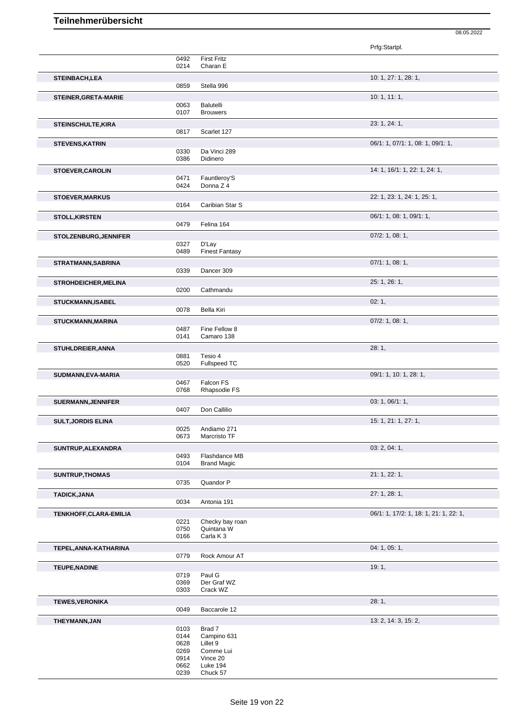|                             |              |                                | Prfg:Startpl.                          |
|-----------------------------|--------------|--------------------------------|----------------------------------------|
|                             | 0492         | <b>First Fritz</b>             |                                        |
|                             | 0214         | Charan E                       |                                        |
| <b>STEINBACH,LEA</b>        | 0859         | Stella 996                     | 10: 1, 27: 1, 28: 1,                   |
| <b>STEINER, GRETA-MARIE</b> |              |                                | 10: 1, 11: 1,                          |
|                             | 0063<br>0107 | Balutelli<br><b>Brouwers</b>   |                                        |
| <b>STEINSCHULTE, KIRA</b>   |              |                                | 23: 1, 24: 1,                          |
|                             | 0817         | Scarlet 127                    |                                        |
| <b>STEVENS, KATRIN</b>      |              |                                | 06/1: 1, 07/1: 1, 08: 1, 09/1: 1,      |
|                             | 0330<br>0386 | Da Vinci 289<br>Didinero       |                                        |
| <b>STOEVER, CAROLIN</b>     |              |                                | 14: 1, 16/1: 1, 22: 1, 24: 1,          |
|                             | 0471<br>0424 | Fauntleroy'S<br>Donna Z 4      |                                        |
|                             |              |                                | 22: 1, 23: 1, 24: 1, 25: 1,            |
| <b>STOEVER, MARKUS</b>      | 0164         | Caribian Star S                |                                        |
| <b>STOLL, KIRSTEN</b>       |              |                                | 06/1: 1, 08: 1, 09/1: 1,               |
|                             | 0479         | Felina 164                     |                                        |
| STOLZENBURG, JENNIFER       |              |                                | $07/2$ : 1, 08: 1,                     |
|                             | 0327<br>0489 | D'Lay<br><b>Finest Fantasy</b> |                                        |
| STRATMANN, SABRINA          |              |                                | 07/1: 1, 08: 1,                        |
|                             | 0339         | Dancer 309                     |                                        |
| <b>STROHDEICHER, MELINA</b> | 0200         | Cathmandu                      | 25: 1, 26: 1,                          |
| <b>STUCKMANN,ISABEL</b>     |              |                                | 02:1,                                  |
|                             | 0078         | <b>Bella Kiri</b>              |                                        |
| <b>STUCKMANN, MARINA</b>    |              |                                | $07/2$ : 1, 08: 1,                     |
|                             | 0487<br>0141 | Fine Fellow 8<br>Camaro 138    |                                        |
| <b>STUHLDREIER, ANNA</b>    |              |                                | 28:1,                                  |
|                             | 0881         | Tesio 4                        |                                        |
|                             | 0520         | Fullspeed TC                   |                                        |
| SUDMANN, EVA-MARIA          | 0467         | Falcon FS                      | 09/1: 1, 10: 1, 28: 1,                 |
|                             | 0768         | Rhapsodie FS                   |                                        |
| <b>SUERMANN, JENNIFER</b>   | 0407         | Don Callilio                   | 03: 1, 06/1: 1,                        |
| <b>SULT, JORDIS ELINA</b>   |              |                                | 15: 1, 21: 1, 27: 1,                   |
|                             | 0025         | Andiamo 271                    |                                        |
|                             | 0673         | Marcristo TF                   |                                        |
| SUNTRUP, ALEXANDRA          | 0493         | Flashdance MB                  | 03: 2, 04: 1,                          |
|                             | 0104         | <b>Brand Magic</b>             |                                        |
| SUNTRUP, THOMAS             |              |                                | 21: 1, 22: 1,                          |
|                             | 0735         | Quandor P                      | 27: 1, 28: 1,                          |
| <b>TADICK, JANA</b>         | 0034         | Antonia 191                    |                                        |
| TENKHOFF, CLARA-EMILIA      |              |                                | 06/1: 1, 17/2: 1, 18: 1, 21: 1, 22: 1, |
|                             | 0221<br>0750 | Checky bay roan<br>Quintana W  |                                        |
|                             | 0166         | Carla K 3                      |                                        |
| TEPEL, ANNA-KATHARINA       |              |                                | 04: 1, 05: 1,                          |
|                             | 0779         | Rock Amour AT                  |                                        |
| <b>TEUPE, NADINE</b>        | 0719         | Paul G                         | 19:1,                                  |
|                             | 0369         | Der Graf WZ                    |                                        |
|                             | 0303         | Crack WZ                       |                                        |
| <b>TEWES, VERONIKA</b>      | 0049         | Baccarole 12                   | 28:1,                                  |
| THEYMANN, JAN               |              |                                | 13: 2, 14: 3, 15: 2,                   |
|                             | 0103         | Brad 7                         |                                        |
|                             | 0144<br>0628 | Campino 631<br>Lillet 9        |                                        |
|                             | 0269<br>0914 | Comme Lui<br>Vince 20          |                                        |
|                             | 0662         | Luke 194                       |                                        |

08.05.2022

Chuck 57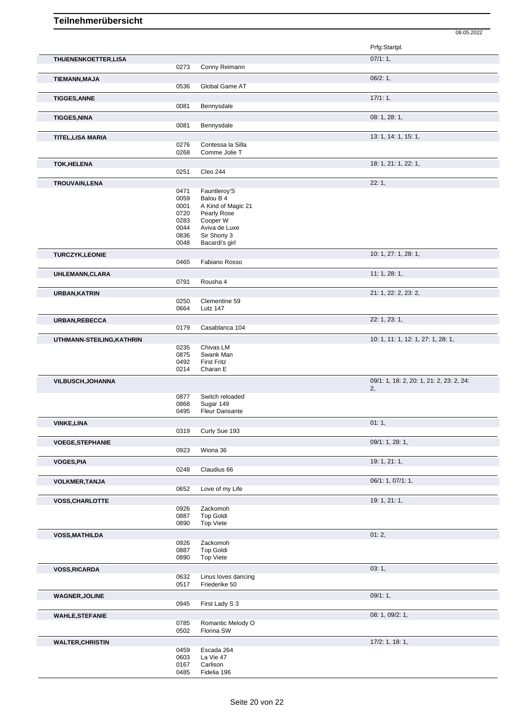|                           |              |                                   | Prfg:Startpl.                                  |
|---------------------------|--------------|-----------------------------------|------------------------------------------------|
| THUENENKOETTER, LISA      | 0273         | Conny Reimann                     | 07/1:1,                                        |
| <b>TIEMANN, MAJA</b>      |              |                                   | 06/2:1,                                        |
|                           | 0536         | Global Game AT                    |                                                |
| <b>TIGGES, ANNE</b>       | 0081         | Bennysdale                        | 17/1:1,                                        |
| <b>TIGGES, NINA</b>       |              |                                   | 08: 1, 28: 1,                                  |
|                           | 0081         | Bennysdale                        |                                                |
| <b>TITEL, LISA MARIA</b>  |              |                                   | 13: 1, 14: 1, 15: 1,                           |
|                           | 0276         | Contessa la Silla                 |                                                |
|                           | 0268         | Comme Jolie T                     |                                                |
| <b>TOK, HELENA</b>        |              |                                   | 18: 1, 21: 1, 22: 1,                           |
|                           | 0251         | Cleo 244                          |                                                |
| TROUVAIN, LENA            |              |                                   | 22:1,                                          |
|                           | 0471         | Fauntleroy'S                      |                                                |
|                           | 0059         | Balou B 4                         |                                                |
|                           | 0001         | A Kind of Magic 21<br>Pearly Rose |                                                |
|                           | 0720<br>0283 | Cooper W                          |                                                |
|                           | 0044         | Aviva de Luxe                     |                                                |
|                           | 0836         | Sir Shorty 3                      |                                                |
|                           | 0048         | Bacardi's girl                    |                                                |
| <b>TURCZYK,LEONIE</b>     |              |                                   | 10: 1, 27: 1, 28: 1,                           |
|                           | 0465         | Fabiano Rosso                     |                                                |
| <b>UHLEMANN, CLARA</b>    |              |                                   | 11:1,28:1,                                     |
|                           | 0791         | Rousha 4                          |                                                |
| <b>URBAN, KATRIN</b>      |              |                                   | 21: 1, 22: 2, 23: 2,                           |
|                           | 0250         | Clementine 59                     |                                                |
|                           | 0664         | Lutz 147                          |                                                |
| URBAN, REBECCA            |              |                                   | 22: 1, 23: 1,                                  |
|                           | 0179         | Casablanca 104                    |                                                |
| UTHMANN-STEILING, KATHRIN |              |                                   | 10: 1, 11: 1, 12: 1, 27: 1, 28: 1,             |
|                           | 0235         | Chivas LM                         |                                                |
|                           | 0875         | Swank Man                         |                                                |
|                           | 0492<br>0214 | <b>First Fritz</b><br>Charan E    |                                                |
|                           |              |                                   |                                                |
| <b>VILBUSCH, JOHANNA</b>  |              |                                   | 09/1: 1, 18: 2, 20: 1, 21: 2, 23: 2, 24:<br>2, |
|                           | 0877         | Switch reloaded                   |                                                |
|                           | 0868         | Sugar 149                         |                                                |
|                           | 0495         | <b>Fleur Dansante</b>             |                                                |
| <b>VINKE, LINA</b>        |              |                                   | 01:1,                                          |
|                           | 0319         | Curly Sue 193                     |                                                |
| <b>VOEGE, STEPHANIE</b>   |              |                                   | 09/1: 1, 28: 1,                                |
|                           | 0923         | Wiona 36                          |                                                |
| <b>VOGES, PIA</b>         |              |                                   | 19: 1, 21: 1,                                  |
|                           | 0248         | Claudius 66                       |                                                |
| <b>VOLKMER, TANJA</b>     |              |                                   | 06/1: 1, 07/1: 1,                              |
|                           | 0652         | Love of my Life                   |                                                |
| <b>VOSS, CHARLOTTE</b>    |              |                                   | 19: 1, 21: 1,                                  |
|                           | 0926<br>0887 | Zackomoh<br><b>Top Goldi</b>      |                                                |
|                           | 0890         | <b>Top Viete</b>                  |                                                |
|                           |              |                                   | 01:2,                                          |
| <b>VOSS, MATHILDA</b>     | 0926         | Zackomoh                          |                                                |
|                           | 0887         | <b>Top Goldi</b>                  |                                                |
|                           | 0890         | <b>Top Viete</b>                  |                                                |
| <b>VOSS, RICARDA</b>      |              |                                   | 03:1,                                          |
|                           | 0632         | Linus loves dancing               |                                                |
|                           | 0517         | Friederike 50                     |                                                |
| <b>WAGNER, JOLINE</b>     |              |                                   | 09/1:1,                                        |
|                           | 0945         | First Lady S 3                    |                                                |
| <b>WAHLE, STEFANIE</b>    |              |                                   | 08: 1, 09/2: 1,                                |
|                           | 0785         | Romantic Melody O                 |                                                |
|                           | 0502         | Florina SW                        |                                                |
| <b>WALTER, CHRISTIN</b>   |              |                                   | 17/2: 1, 18: 1,                                |
|                           | 0459         | Escada 264                        |                                                |
|                           | 0603         | La Vie 47                         |                                                |
|                           | 0167<br>0485 | Carlison<br>Fidelia 196           |                                                |
|                           |              |                                   |                                                |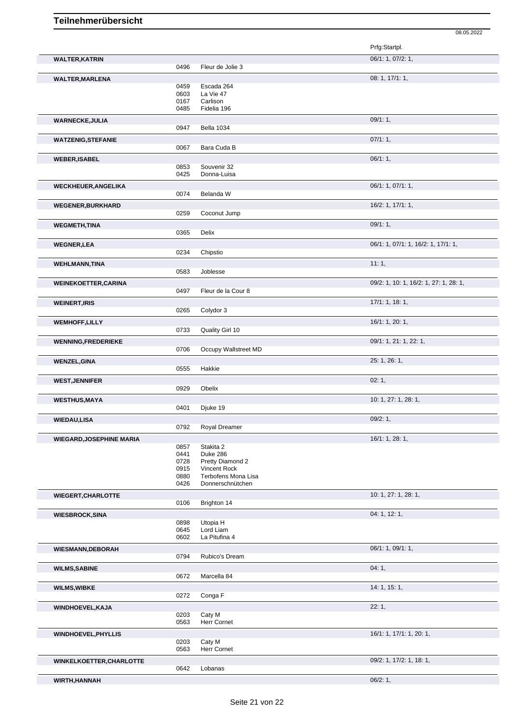|                                 |              |                              | 08.05.2022                             |
|---------------------------------|--------------|------------------------------|----------------------------------------|
|                                 |              |                              | Prfg:Startpl.                          |
| <b>WALTER, KATRIN</b>           |              |                              | 06/1: 1, 07/2: 1,                      |
|                                 | 0496         | Fleur de Jolie 3             |                                        |
| <b>WALTER, MARLENA</b>          |              |                              | 08: 1, 17/1: 1,                        |
|                                 | 0459         | Escada 264                   |                                        |
|                                 | 0603<br>0167 | La Vie 47<br>Carlison        |                                        |
|                                 | 0485         | Fidelia 196                  |                                        |
| <b>WARNECKE, JULIA</b>          |              |                              | 09/1:1,                                |
|                                 | 0947         | Bella 1034                   |                                        |
| <b>WATZENIG, STEFANIE</b>       |              |                              | 07/1:1,                                |
|                                 | 0067         | Bara Cuda B                  |                                        |
| <b>WEBER, ISABEL</b>            |              |                              | 06/1:1,                                |
|                                 | 0853         | Souvenir 32                  |                                        |
|                                 | 0425         | Donna-Luisa                  |                                        |
| <b>WECKHEUER, ANGELIKA</b>      | 0074         | Belanda W                    | 06/1: 1, 07/1: 1,                      |
|                                 |              |                              |                                        |
| <b>WEGENER, BURKHARD</b>        | 0259         | Coconut Jump                 | 16/2: 1, 17/1: 1,                      |
|                                 |              |                              | 09/1:1,                                |
| <b>WEGMETH,TINA</b>             | 0365         | Delix                        |                                        |
| <b>WEGNER,LEA</b>               |              |                              | 06/1: 1, 07/1: 1, 16/2: 1, 17/1: 1,    |
|                                 | 0234         | Chipstio                     |                                        |
| <b>WEHLMANN, TINA</b>           |              |                              | 11:1,                                  |
|                                 | 0583         | Joblesse                     |                                        |
| <b>WEINEKOETTER, CARINA</b>     |              |                              | 09/2: 1, 10: 1, 16/2: 1, 27: 1, 28: 1, |
|                                 | 0497         | Fleur de la Cour 8           |                                        |
| <b>WEINERT, IRIS</b>            |              |                              | 17/1: 1, 18: 1,                        |
|                                 | 0265         | Colydor 3                    |                                        |
| <b>WEMHOFF,LILLY</b>            |              |                              | 16/1: 1, 20: 1,                        |
|                                 | 0733         | Quality Girl 10              |                                        |
| <b>WENNING, FREDERIEKE</b>      |              |                              | 09/1: 1, 21: 1, 22: 1,                 |
|                                 | 0706         | Occupy Wallstreet MD         |                                        |
| <b>WENZEL, GINA</b>             |              |                              | 25: 1, 26: 1,                          |
|                                 | 0555         | Hakkie                       |                                        |
| <b>WEST, JENNIFER</b>           | 0929         | Obelix                       | 02:1,                                  |
|                                 |              |                              |                                        |
| <b>WESTHUS, MAYA</b>            | 0401         | Djuke 19                     | 10: 1, 27: 1, 28: 1,                   |
| <b>WIEDAU,LISA</b>              |              |                              | 09/2:1,                                |
|                                 | 0792         | Royal Dreamer                |                                        |
| <b>WIEGARD, JOSEPHINE MARIA</b> |              |                              | 16/1: 1, 28: 1,                        |
|                                 | 0857         | Stakita 2                    |                                        |
|                                 | 0441         | Duke 286<br>Pretty Diamond 2 |                                        |
|                                 | 0728<br>0915 | Vincent Rock                 |                                        |
|                                 | 0880         | Terbofens Mona Lisa          |                                        |
|                                 | 0426         | Donnerschnütchen             |                                        |
| <b>WIEGERT, CHARLOTTE</b>       |              |                              | 10: 1, 27: 1, 28: 1,                   |
|                                 | 0106         | Brighton 14                  |                                        |
| <b>WIESBROCK, SINA</b>          |              |                              | 04: 1, 12: 1,                          |
|                                 | 0898<br>0645 | Utopia H<br>Lord Liam        |                                        |
|                                 | 0602         | La Pitufina 4                |                                        |
| <b>WIESMANN, DEBORAH</b>        |              |                              | 06/1: 1, 09/1: 1,                      |
|                                 | 0794         | Rubico's Dream               |                                        |
| <b>WILMS, SABINE</b>            |              |                              | 04:1,                                  |
|                                 | 0672         | Marcella 84                  |                                        |
| <b>WILMS, WIBKE</b>             |              |                              | 14: 1, 15: 1,                          |
|                                 | 0272         | Conga F                      |                                        |
| WINDHOEVEL, KAJA                |              |                              | 22:1,                                  |
|                                 | 0203<br>0563 | Caty M<br>Herr Cornet        |                                        |
|                                 |              |                              |                                        |
| <b>WINDHOEVEL, PHYLLIS</b>      | 0203         | Caty M                       | 16/1: 1, 17/1: 1, 20: 1,               |
|                                 | 0563         | Herr Cornet                  |                                        |
| WINKELKOETTER, CHARLOTTE        |              |                              | 09/2: 1, 17/2: 1, 18: 1,               |
|                                 | 0642         | Lobanas                      |                                        |
| WIRTH, HANNAH                   |              |                              | 06/2:1,                                |

Seite 21 von 22